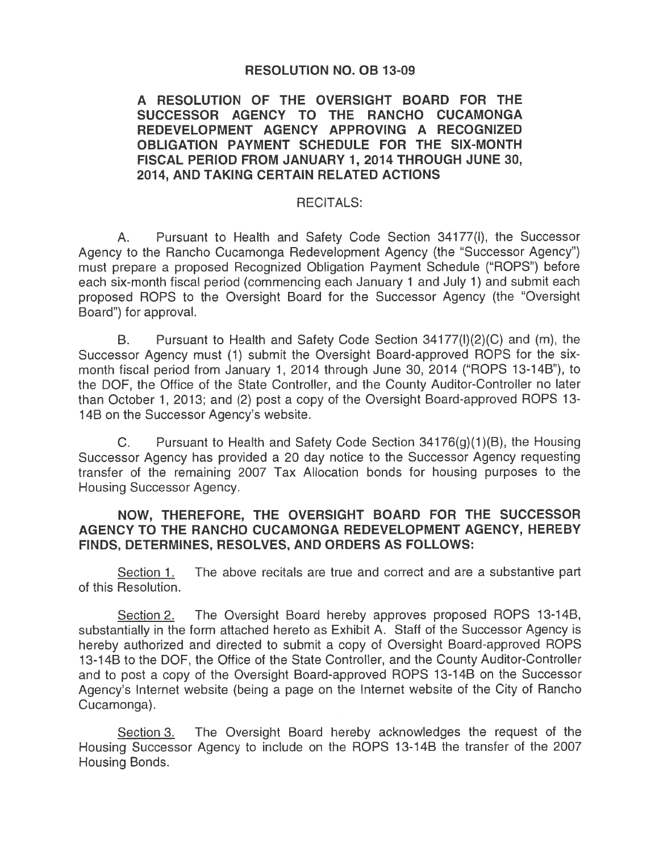## **RESOLUTION NO. OB 13-09**

# A RESOLUTION OF THE OVERSIGHT BOARD FOR THE SUCCESSOR AGENCY TO THE RANCHO CUCAMONGA REDEVELOPMENT AGENCY APPROVING A RECOGNIZED OBLIGATION PAYMENT SCHEDULE FOR THE SIX-MONTH FISCAL PERIOD FROM JANUARY 1, 2014 THROUGH JUNE 30, 2014. AND TAKING CERTAIN RELATED ACTIONS

#### **RECITALS:**

Pursuant to Health and Safety Code Section 34177(I), the Successor Α. Agency to the Rancho Cucamonga Redevelopment Agency (the "Successor Agency") must prepare a proposed Recognized Obligation Payment Schedule ("ROPS") before each six-month fiscal period (commencing each January 1 and July 1) and submit each proposed ROPS to the Oversight Board for the Successor Agency (the "Oversight Board") for approval.

**B.** Pursuant to Health and Safety Code Section 34177(I)(2)(C) and (m), the Successor Agency must (1) submit the Oversight Board-approved ROPS for the sixmonth fiscal period from January 1, 2014 through June 30, 2014 ("ROPS 13-14B"), to the DOF, the Office of the State Controller, and the County Auditor-Controller no later than October 1, 2013; and (2) post a copy of the Oversight Board-approved ROPS 13-14B on the Successor Agency's website.

 $C_{\cdot}$ Pursuant to Health and Safety Code Section 34176(g)(1)(B), the Housing Successor Agency has provided a 20 day notice to the Successor Agency requesting transfer of the remaining 2007 Tax Allocation bonds for housing purposes to the Housing Successor Agency.

## NOW, THEREFORE, THE OVERSIGHT BOARD FOR THE SUCCESSOR AGENCY TO THE RANCHO CUCAMONGA REDEVELOPMENT AGENCY, HEREBY FINDS, DETERMINES, RESOLVES, AND ORDERS AS FOLLOWS:

Section 1. The above recitals are true and correct and are a substantive part of this Resolution.

The Oversight Board hereby approves proposed ROPS 13-14B, Section 2. substantially in the form attached hereto as Exhibit A. Staff of the Successor Agency is hereby authorized and directed to submit a copy of Oversight Board-approved ROPS 13-14B to the DOF, the Office of the State Controller, and the County Auditor-Controller and to post a copy of the Oversight Board-approved ROPS 13-14B on the Successor Agency's Internet website (being a page on the Internet website of the City of Rancho Cucamonga).

The Oversight Board hereby acknowledges the request of the Section 3. Housing Successor Agency to include on the ROPS 13-14B the transfer of the 2007 Housing Bonds.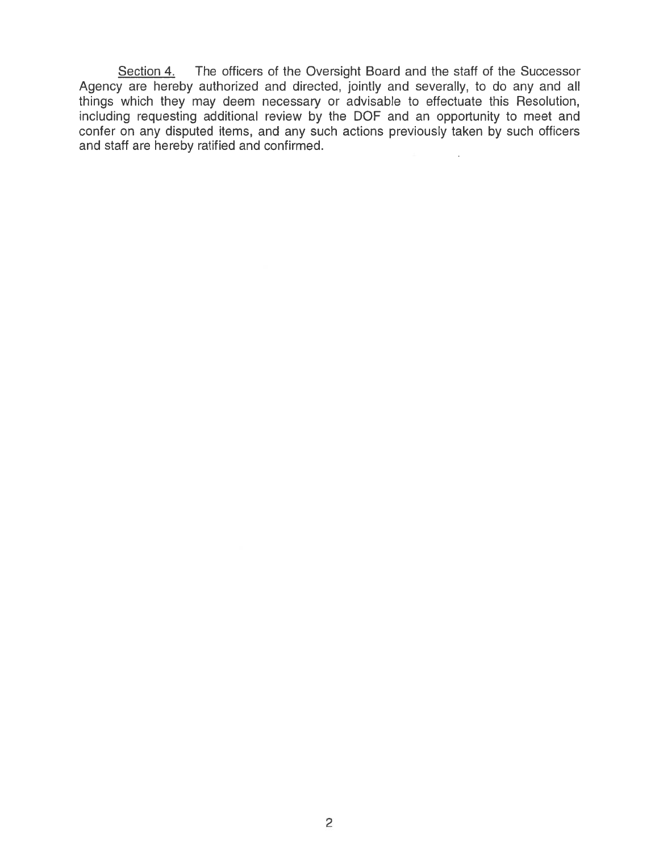The officers of the Oversight Board and the staff of the Successor Section 4. Agency are hereby authorized and directed, jointly and severally, to do any and all things which they may deem necessary or advisable to effectuate this Resolution, including requesting additional review by the DOF and an opportunity to meet and confer on any disputed items, and any such actions previously taken by such officers and staff are hereby ratified and confirmed.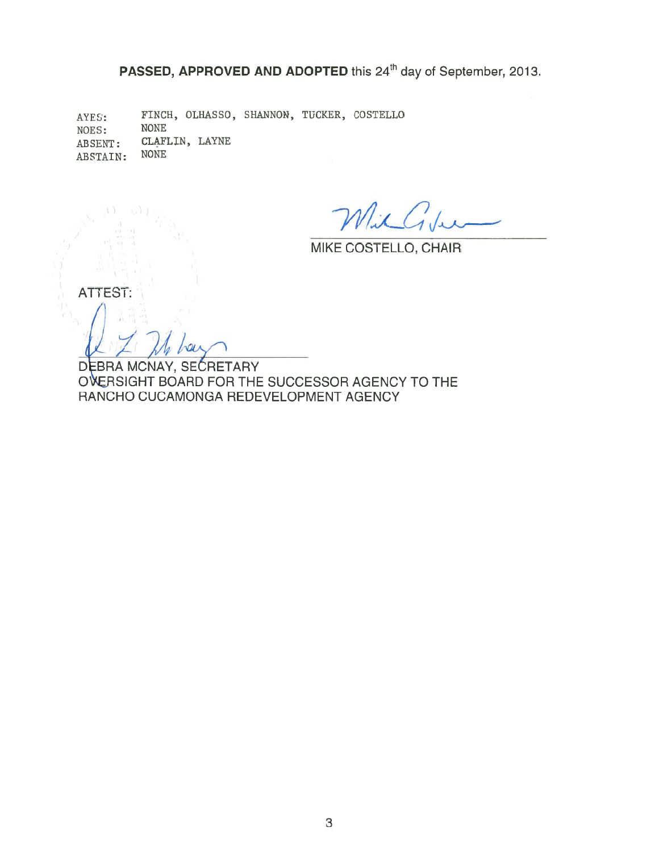PASSED, APPROVED AND ADOPTED this 24<sup>th</sup> day of September, 2013.

FINCH, OLHASSO, SHANNON, TUCKER, COSTELLO AYES: NOES: **NONE** CLAFLIN, LAYNE ABSENT: NONE ABSTAIN:

MilGu

MIKE COSTELLO, CHAIR

**ATTEST:** 

DEBRA MCNAY, SECRETARY OVERSIGHT BOARD FOR THE SUCCESSOR AGENCY TO THE RANCHO CUCAMONGA REDEVELOPMENT AGENCY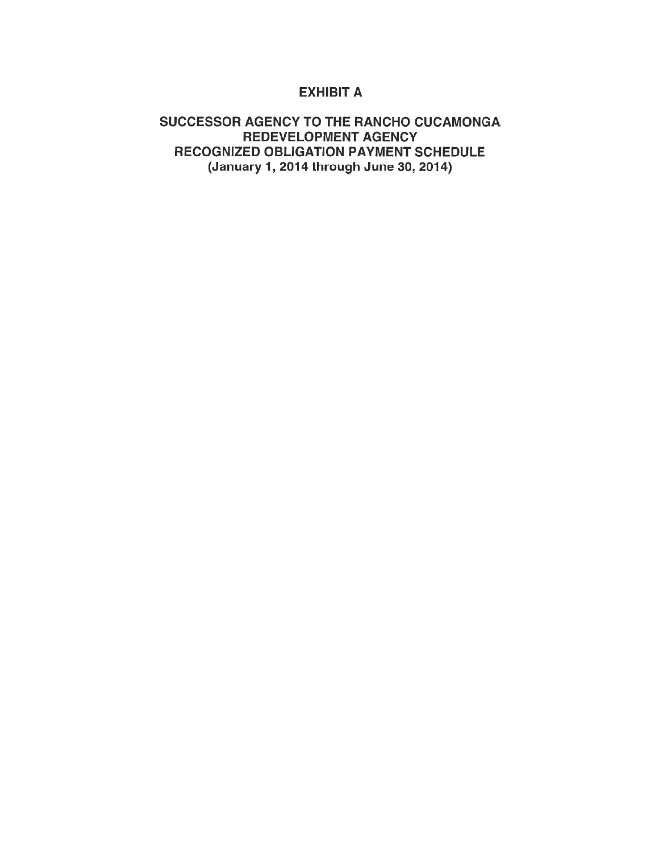# **EXHIBIT A**

# SUCCESSOR AGENCY TO THE RANCHO CUCAMONGA REDEVELOPMENT AGENCY RECOGNIZED OBLIGATION PAYMENT SCHEDULE (January 1, 2014 through June 30, 2014)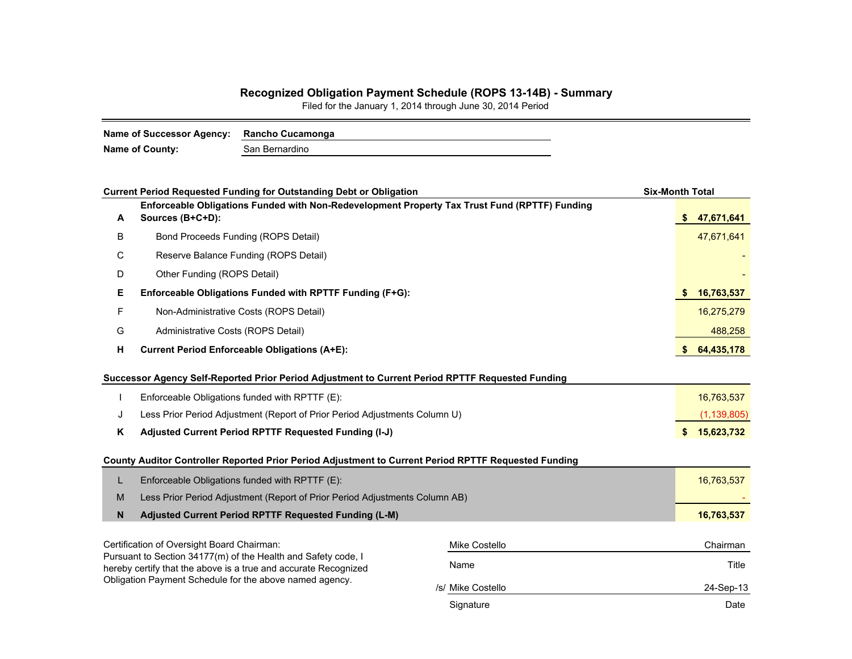#### **Recognized Obligation Payment Schedule (ROPS 13-14B) - Summary**

Filed for the January 1, 2014 through June 30, 2014 Period

| Name of County:<br>San Bernardino |  |
|-----------------------------------|--|

|    | <b>Current Period Requested Funding for Outstanding Debt or Obligation</b>                                                 |                   | <b>Six-Month Total</b> |               |
|----|----------------------------------------------------------------------------------------------------------------------------|-------------------|------------------------|---------------|
| A  | Enforceable Obligations Funded with Non-Redevelopment Property Tax Trust Fund (RPTTF) Funding<br>Sources (B+C+D):          |                   | -SS                    | 47,671,641    |
| В  | Bond Proceeds Funding (ROPS Detail)                                                                                        |                   |                        | 47,671,641    |
| С  | Reserve Balance Funding (ROPS Detail)                                                                                      |                   |                        |               |
| D  | Other Funding (ROPS Detail)                                                                                                |                   |                        |               |
| Е. | Enforceable Obligations Funded with RPTTF Funding (F+G):                                                                   |                   |                        | 16,763,537    |
| F  | Non-Administrative Costs (ROPS Detail)                                                                                     |                   |                        | 16,275,279    |
| G  | Administrative Costs (ROPS Detail)                                                                                         |                   |                        | 488,258       |
| н  | <b>Current Period Enforceable Obligations (A+E):</b>                                                                       |                   |                        | 64,435,178    |
|    | Successor Agency Self-Reported Prior Period Adjustment to Current Period RPTTF Requested Funding                           |                   |                        |               |
|    | Enforceable Obligations funded with RPTTF (E):                                                                             |                   |                        | 16,763,537    |
| J  | Less Prior Period Adjustment (Report of Prior Period Adjustments Column U)                                                 |                   |                        | (1, 139, 805) |
| Κ  | Adjusted Current Period RPTTF Requested Funding (I-J)                                                                      |                   |                        | \$15,623,732  |
|    | County Auditor Controller Reported Prior Period Adjustment to Current Period RPTTF Requested Funding                       |                   |                        |               |
| L  | Enforceable Obligations funded with RPTTF (E):                                                                             |                   |                        | 16,763,537    |
| M  | Less Prior Period Adjustment (Report of Prior Period Adjustments Column AB)                                                |                   |                        |               |
| N  | Adjusted Current Period RPTTF Requested Funding (L-M)                                                                      |                   |                        | 16,763,537    |
|    | Certification of Oversight Board Chairman:                                                                                 | Mike Costello     |                        | Chairman      |
|    | Pursuant to Section 34177(m) of the Health and Safety code, I                                                              | Name              |                        | Title         |
|    | hereby certify that the above is a true and accurate Recognized<br>Obligation Payment Schedule for the above named agency. |                   |                        |               |
|    |                                                                                                                            | /s/ Mike Costello |                        | 24-Sep-13     |
|    |                                                                                                                            | Signature         |                        | Date          |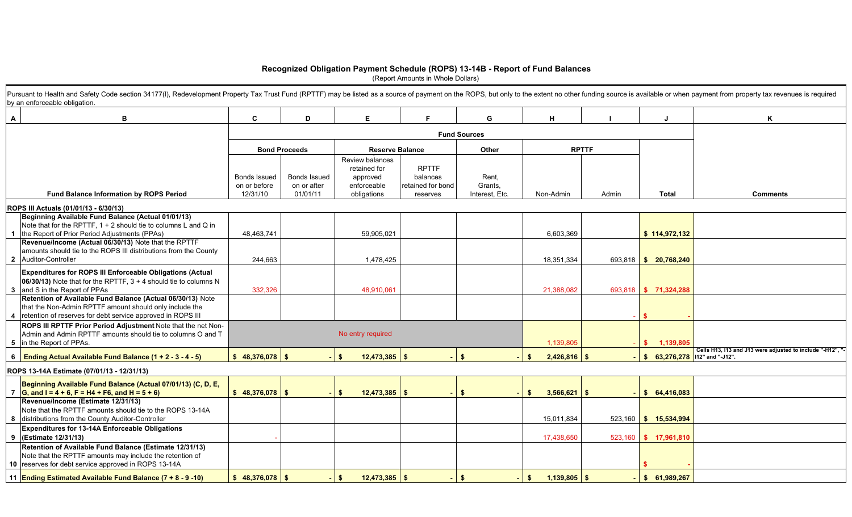#### **Recognized Obligation Payment Schedule (ROPS) 13-14B - Report of Fund Balances**

(Report Amounts in Whole Dollars)

| B<br>$\mathsf{A}$                                                                                                                                                                      | C.                                              | D                                              | E.                                                                               |                                                           | G                                  | H                    |              |                                 | K                                                         |
|----------------------------------------------------------------------------------------------------------------------------------------------------------------------------------------|-------------------------------------------------|------------------------------------------------|----------------------------------------------------------------------------------|-----------------------------------------------------------|------------------------------------|----------------------|--------------|---------------------------------|-----------------------------------------------------------|
|                                                                                                                                                                                        |                                                 |                                                |                                                                                  |                                                           | <b>Fund Sources</b>                |                      |              |                                 |                                                           |
|                                                                                                                                                                                        |                                                 | <b>Bond Proceeds</b>                           | <b>Reserve Balance</b>                                                           |                                                           | Other                              |                      | <b>RPTTF</b> |                                 |                                                           |
| Fund Balance Information by ROPS Period                                                                                                                                                | <b>Bonds Issued</b><br>on or before<br>12/31/10 | <b>Bonds Issued</b><br>on or after<br>01/01/11 | <b>Review balances</b><br>retained for<br>approved<br>enforceable<br>obligations | <b>RPTTF</b><br>balances<br>retained for bond<br>reserves | Rent,<br>Grants,<br>Interest, Etc. | Non-Admin            | Admin        | <b>Total</b>                    | <b>Comments</b>                                           |
| ROPS III Actuals (01/01/13 - 6/30/13)                                                                                                                                                  |                                                 |                                                |                                                                                  |                                                           |                                    |                      |              |                                 |                                                           |
| Beginning Available Fund Balance (Actual 01/01/13)<br>Note that for the RPTTF, 1 + 2 should tie to columns L and Q in<br>1 the Report of Prior Period Adjustments (PPAs)               | 48,463,741                                      |                                                | 59,905,021                                                                       |                                                           |                                    | 6,603,369            |              | \$114,972,132                   |                                                           |
| Revenue/Income (Actual 06/30/13) Note that the RPTTF<br>amounts should tie to the ROPS III distributions from the County<br>2 Auditor-Controller                                       | 244,663                                         |                                                | 1,478,425                                                                        |                                                           |                                    | 18,351,334           |              | 693,818 \$ 20,768,240           |                                                           |
| <b>Expenditures for ROPS III Enforceable Obligations (Actual</b><br>06/30/13) Note that for the RPTTF, $3 + 4$ should tie to columns N<br>3 and S in the Report of PPAs                | 332,326                                         |                                                | 48,910,061                                                                       |                                                           |                                    | 21,388,082           |              | 693,818 \$ 71,324,288           |                                                           |
| Retention of Available Fund Balance (Actual 06/30/13) Note<br>that the Non-Admin RPTTF amount should only include the<br>4 retention of reserves for debt service approved in ROPS III |                                                 |                                                |                                                                                  |                                                           |                                    |                      |              |                                 |                                                           |
| <b>ROPS III RPTTF Prior Period Adjustment Note that the net Non-</b><br>Admin and Admin RPTTF amounts should tie to columns O and T<br>5 in the Report of PPAs.                        |                                                 |                                                | No entry required                                                                |                                                           |                                    | 1,139,805            |              | \$ 1,139,805                    |                                                           |
| 6 Ending Actual Available Fund Balance $(1 + 2 - 3 - 4 - 5)$                                                                                                                           | $$48,376,078$ \ \ \$                            |                                                | $\mathsf{S}$<br>$12,473,385$ \$                                                  |                                                           | \$                                 | $2,426,816$ \$<br>S. |              | $$63,276,278$  112" and "-J12". | Cells H13, I13 and J13 were adjusted to include "-H12", " |
| ROPS 13-14A Estimate (07/01/13 - 12/31/13)                                                                                                                                             |                                                 |                                                |                                                                                  |                                                           |                                    |                      |              |                                 |                                                           |
| Beginning Available Fund Balance (Actual 07/01/13) (C, D, E,<br>7 G, and I = 4 + 6, F = H4 + F6, and H = 5 + 6)                                                                        | $$48,376,078$ \\$                               |                                                | $\mathbf{s}$<br>$12,473,385$ \$                                                  |                                                           | \$                                 | $3,566,621$ \$<br>\$ |              | \$64,416,083                    |                                                           |
| Revenue/Income (Estimate 12/31/13)<br>Note that the RPTTF amounts should tie to the ROPS 13-14A<br>8 distributions from the County Auditor-Controller                                  |                                                 |                                                |                                                                                  |                                                           |                                    | 15,011,834           |              | 523,160 \$ 15,534,994           |                                                           |
| Expenditures for 13-14A Enforceable Obligations<br>9 (Estimate 12/31/13)                                                                                                               |                                                 |                                                |                                                                                  |                                                           |                                    | 17,438,650           |              | 523,160 \$ 17,961,810           |                                                           |
| Retention of Available Fund Balance (Estimate 12/31/13)<br>Note that the RPTTF amounts may include the retention of<br>10 reserves for debt service approved in ROPS 13-14A            |                                                 |                                                |                                                                                  |                                                           |                                    |                      |              |                                 |                                                           |
| 11 Ending Estimated Available Fund Balance (7 + 8 - 9 -10)                                                                                                                             | $$48,376,078$ \$                                |                                                | $12,473,385$ \$<br>$$^{\circ}$                                                   |                                                           | \$                                 | $1,139,805$ \$<br>s. |              | \$61,989,267                    |                                                           |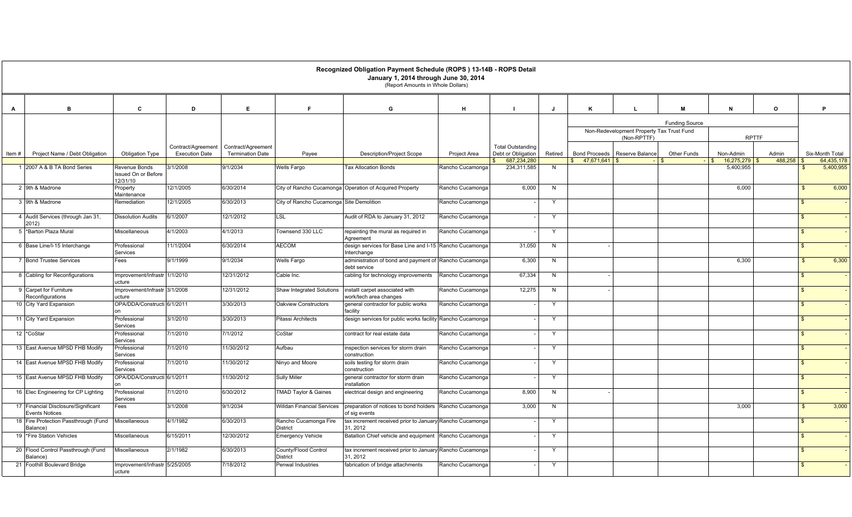|            |                                                              |                                                  |                       |                         |                                          | Recognized Obligation Payment Schedule (ROPS) 13-14B - ROPS Detail<br>January 1, 2014 through June 30, 2014<br>(Report Amounts in Whole Dollars) |                  |                            |              |               |                                           |                       |                                            |         |                    |                         |
|------------|--------------------------------------------------------------|--------------------------------------------------|-----------------------|-------------------------|------------------------------------------|--------------------------------------------------------------------------------------------------------------------------------------------------|------------------|----------------------------|--------------|---------------|-------------------------------------------|-----------------------|--------------------------------------------|---------|--------------------|-------------------------|
| A          | B                                                            | C                                                | D                     | E                       | E                                        | G                                                                                                                                                | н                |                            | J            | K             |                                           | M                     | N                                          | $\circ$ |                    | P.                      |
|            |                                                              |                                                  |                       |                         |                                          |                                                                                                                                                  |                  |                            |              |               |                                           | <b>Funding Source</b> |                                            |         |                    |                         |
|            |                                                              |                                                  |                       |                         |                                          |                                                                                                                                                  |                  |                            |              |               | Non-Redevelopment Property Tax Trust Fund |                       |                                            |         |                    |                         |
|            |                                                              |                                                  | Contract/Agreement    | Contract/Agreement      |                                          |                                                                                                                                                  |                  | <b>Total Outstanding</b>   |              |               | (Non-RPTTF)                               |                       | <b>RPTTF</b>                               |         |                    |                         |
| Item#      | Project Name / Debt Obligation                               | <b>Obligation Type</b>                           | <b>Execution Date</b> | <b>Termination Date</b> | Payee                                    | <b>Description/Project Scope</b>                                                                                                                 | Project Area     | Debt or Obligation         | Retired      |               | Bond Proceeds   Reserve Balance           | Other Funds           | Non-Admin                                  | Admin   |                    | Six-Month Total         |
|            | 1 2007 A & B TA Bond Series                                  | Revenue Bonds<br>Issued On or Before<br>12/31/10 | 3/1/2008              | 9/1/2034                | <b>Wells Fargo</b>                       | <b>Tax Allocation Bonds</b>                                                                                                                      | Rancho Cucamonga | 687,234,280<br>234,311,585 | N            | \$ 47,671,641 |                                           |                       | $16,275,279$ \$<br>$\sqrt{2}$<br>5,400,955 | 488,258 | \$.                | 64,435,178<br>5,400,955 |
|            | 2 9th & Madrone                                              | Property<br>Maintenance                          | 12/1/2005             | 6/30/2014               |                                          | City of Rancho Cucamonga Operation of Acquired Property                                                                                          | Rancho Cucamonga | 6,000                      | N            |               |                                           |                       | 6,000                                      |         | $\mathbf{s}$       | 6,000                   |
|            | 3 9th & Madrone                                              | Remediation                                      | 12/1/2005             | 6/30/2013               | City of Rancho Cucamonga Site Demolition |                                                                                                                                                  | Rancho Cucamonga |                            | $\mathsf{Y}$ |               |                                           |                       |                                            |         | $\mathbf{R}$       |                         |
|            | 4 Audit Services (through Jan 31,<br>2012)                   | <b>Dissolution Audits</b>                        | 6/1/2007              | 12/1/2012               | LSL                                      | Audit of RDA to January 31, 2012                                                                                                                 | Rancho Cucamonga |                            | $\vee$       |               |                                           |                       |                                            |         | $\hat{\mathbf{r}}$ |                         |
|            | 5 *Barton Plaza Mural                                        | Miscellaneous                                    | 4/1/2003              | 4/1/2013                | Townsend 330 LLC                         | repainting the mural as required in<br>Agreement                                                                                                 | Rancho Cucamonga |                            | $\mathsf{v}$ |               |                                           |                       |                                            |         | $\mathbf{R}$       |                         |
|            | 6 Base Line/I-15 Interchange                                 | Professional<br>Services                         | 11/1/2004             | 6/30/2014               | <b>AECOM</b>                             | design services for Base Line and I-15 Rancho Cucamonga<br>Interchange                                                                           |                  | 31,050                     | N            |               |                                           |                       |                                            |         |                    |                         |
|            | 7 Bond Trustee Services                                      | Fees                                             | 9/1/1999              | 9/1/2034                | <b>Wells Fargo</b>                       | administration of bond and payment of Rancho Cucamonga<br>debt service                                                                           |                  | 6,300                      | N            |               |                                           |                       | 6,300                                      |         | $\mathbb{S}$       | 6,300                   |
|            | 8 Cabling for Reconfigurations                               | Improvement/Infrastr 1/1/2010<br>ucture          |                       | 12/31/2012              | Cable Inc.                               | cabling for technology improvements                                                                                                              | Rancho Cucamonga | 67,334                     | N            |               |                                           |                       |                                            |         | $\mathbf{\hat{f}}$ |                         |
|            | 9 Carpet for Furniture<br>Reconfigurations                   | Improvement/Infrastr 3/1/2008<br>ucture          |                       | 12/31/2012              | <b>Shaw Integrated Solutions</b>         | installl carpet associated with<br>work/tech area changes                                                                                        | Rancho Cucamonga | 12,275                     | N            |               |                                           |                       |                                            |         | $\mathcal{L}$      |                         |
|            | 10 City Yard Expansion                                       | OPA/DDA/Constructi 6/1/2011                      |                       | 3/30/2013               | Oakview Constructors                     | general contractor for public works<br>facility                                                                                                  | Rancho Cucamonga |                            |              |               |                                           |                       |                                            |         |                    |                         |
|            | 11 City Yard Expansion                                       | Professional<br>Services                         | 3/1/2010              | 3/30/2013               | Pitassi Architects                       | design services for public works facility Rancho Cucamonga                                                                                       |                  |                            | Y            |               |                                           |                       |                                            |         |                    |                         |
| 12 *CoStar |                                                              | Professional<br>Services                         | 7/1/2010              | 7/1/2012                | CoStar                                   | contract for real estate data                                                                                                                    | Rancho Cucamonga |                            | $\mathsf{v}$ |               |                                           |                       |                                            |         | $\mathbf{R}$       |                         |
|            | 13 East Avenue MPSD FHB Modify                               | Professional<br>Services                         | 7/1/2010              | 11/30/2012              | Aufbau                                   | inspection services for storm drain<br>construction                                                                                              | Rancho Cucamonga |                            | Y            |               |                                           |                       |                                            |         | $\mathbf{\hat{f}}$ |                         |
|            | 14 East Avenue MPSD FHB Modify                               | Professional<br>Services                         | 7/1/2010              | 11/30/2012              | Ninyo and Moore                          | soils testing for storm drain<br>construction                                                                                                    | Rancho Cucamonga |                            | $\mathsf{Y}$ |               |                                           |                       |                                            |         |                    |                         |
|            | 15 East Avenue MPSD FHB Modify                               | OPA/DDA/Constructi 6/1/2011                      |                       | 11/30/2012              | <b>Sully Miller</b>                      | general contractor for storm drain<br>installation                                                                                               | Rancho Cucamonga |                            | $\mathsf{Y}$ |               |                                           |                       |                                            |         | $\mathbf{R}$       |                         |
|            | 16 Elec Engineering for CP Lighting                          | Professional<br>Services                         | 7/1/2010              | 6/30/2012               | <b>TMAD Taylor &amp; Gaines</b>          | electrical design and engineering                                                                                                                | Rancho Cucamonga | 8,900                      | N            |               |                                           |                       |                                            |         | $\mathbf{\hat{s}}$ |                         |
|            | 17 Financial Disclosure/Significant<br><b>Events Notices</b> | Fees                                             | 3/1/2008              | 9/1/2034                | <b>Willdan Financial Services</b>        | preparation of notices to bond holders<br>of sig events                                                                                          | Rancho Cucamonga | 3,000                      | N            |               |                                           |                       | 3,000                                      |         | \$                 | 3,000                   |
|            | 18 Fire Protection Passthrough (Fund<br>Balance)             | Miscellaneous                                    | 4/1/1982              | 6/30/2013               | Rancho Cucamonga Fire<br><b>District</b> | tax increment received prior to January Rancho Cucamonga<br>31, 2012                                                                             |                  |                            | Y            |               |                                           |                       |                                            |         | $\mathbf{\hat{f}}$ |                         |
|            | 19 Fire Station Vehicles                                     | Miscellaneous                                    | 6/15/2011             | 12/30/2012              | <b>Emergency Vehicle</b>                 | Batallion Chief vehicle and equipment Rancho Cucamonga                                                                                           |                  |                            | $\mathsf{Y}$ |               |                                           |                       |                                            |         |                    |                         |
|            | 20 Flood Control Passthrough (Fund<br>Balance)               | Miscellaneous                                    | 2/1/1982              | 6/30/2013               | County/Flood Control<br><b>District</b>  | tax increment received prior to January Rancho Cucamonga<br>31, 2012                                                                             |                  |                            |              |               |                                           |                       |                                            |         |                    |                         |
|            | 21 Foothill Boulevard Bridge                                 | Improvement/Infrastr 5/25/2005<br>ucture         |                       | 7/18/2012               | <b>Penwal Industries</b>                 | fabrication of bridge attachments                                                                                                                | Rancho Cucamonga |                            | Y            |               |                                           |                       |                                            |         | $\mathcal{L}$      |                         |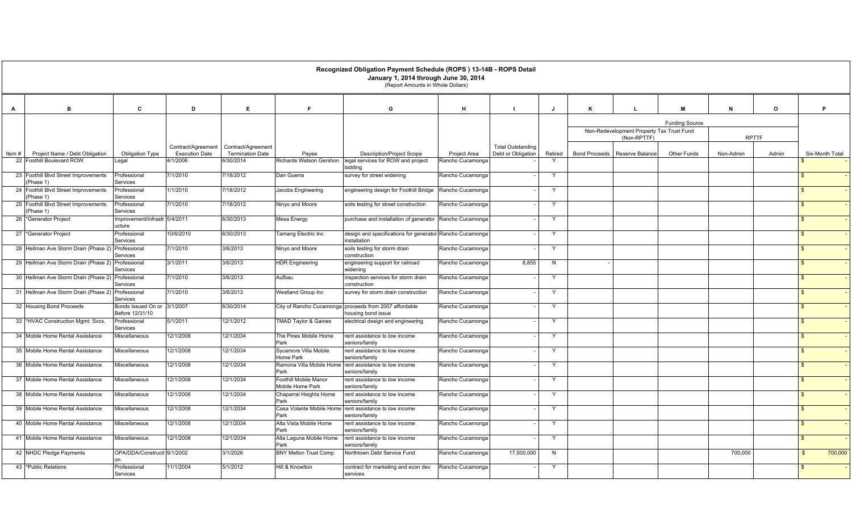|          |                                                   |                                         |                                             |                                               |                                           | Recognized Obligation Payment Schedule (ROPS) 13-14B - ROPS Detail<br>January 1, 2014 through June 30, 2014<br>(Report Amounts in Whole Dollars) |                     |                                                |              |                      |                                           |                       |              |              |                         |  |
|----------|---------------------------------------------------|-----------------------------------------|---------------------------------------------|-----------------------------------------------|-------------------------------------------|--------------------------------------------------------------------------------------------------------------------------------------------------|---------------------|------------------------------------------------|--------------|----------------------|-------------------------------------------|-----------------------|--------------|--------------|-------------------------|--|
| A        | B                                                 | C                                       | D                                           | E                                             |                                           | G                                                                                                                                                | н                   |                                                | J            |                      |                                           |                       | N            | $\mathbf{o}$ | P                       |  |
|          |                                                   |                                         |                                             |                                               |                                           |                                                                                                                                                  |                     |                                                |              |                      |                                           | <b>Funding Source</b> |              |              |                         |  |
|          |                                                   |                                         |                                             |                                               |                                           |                                                                                                                                                  |                     |                                                |              |                      | Non-Redevelopment Property Tax Trust Fund |                       |              |              |                         |  |
|          |                                                   |                                         |                                             |                                               |                                           |                                                                                                                                                  |                     |                                                |              |                      | (Non-RPTTF)                               |                       | <b>RPTTF</b> |              |                         |  |
| Item $#$ | Project Name / Debt Obligation                    | Obligation Type                         | Contract/Agreement<br><b>Execution Date</b> | Contract/Agreement<br><b>Termination Date</b> | Payee                                     | <b>Description/Project Scope</b>                                                                                                                 | <b>Project Area</b> | <b>Total Outstanding</b><br>Debt or Obligation | Retired      | <b>Bond Proceeds</b> | Reserve Balance                           | <b>Other Funds</b>    | Non-Admin    | Admin        | Six-Month Total         |  |
|          | 22 Foothill Boulevard ROW                         | egal.                                   | 4/1/2006                                    | 6/30/2014                                     | Richards Watson Gershon                   | legal services for ROW and project                                                                                                               | Rancho Cucamonga    |                                                | $\mathsf{Y}$ |                      |                                           |                       |              |              |                         |  |
|          | 23 Foothill Blvd Street Improvements              | Professional                            | 7/1/2010                                    | 7/18/2012                                     | Dan Guerra                                | bidding<br>survey for street widening                                                                                                            | Rancho Cucamonga    |                                                | $\mathsf{Y}$ |                      |                                           |                       |              |              | $\mathfrak{L}$          |  |
|          | Phase 1)                                          | Services                                |                                             |                                               |                                           |                                                                                                                                                  |                     |                                                |              |                      |                                           |                       |              |              |                         |  |
|          | 24 Foothill Blvd Street Improvements<br>(Phase 1) | Professional<br>Services                | 1/1/2010                                    | 7/18/2012                                     | Jacobs Engineering                        | engineering design for Foothill Bridge                                                                                                           | Rancho Cucamonga    |                                                | Y            |                      |                                           |                       |              |              | \$                      |  |
|          | 25 Foothill Blvd Street Improvements<br>(Phase 1) | Professional<br>Services                | 7/1/2010                                    | 7/18/2012                                     | Ninyo and Moore                           | soils testing for street construction                                                                                                            | Rancho Cucamonga    |                                                | Y            |                      |                                           |                       |              |              | \$                      |  |
|          | 26 Generator Project                              | Improvement/Infrastr 5/4/2011<br>ucture |                                             | 6/30/2013                                     | Mesa Energy                               | purchase and installation of generator                                                                                                           | Rancho Cucamonga    |                                                | $\mathsf{Y}$ |                      |                                           |                       |              |              | $\mathfrak{L}$          |  |
|          | 27 *Generator Project                             | Professional<br>Services                | 10/6/2010                                   | 6/30/2013                                     | Tamang Electric Inc                       | design and specifications for generator Rancho Cucamonga<br>installation                                                                         |                     |                                                | Y            |                      |                                           |                       |              |              | -S                      |  |
|          | 28 Hellman Ave Storm Drain (Phase 2) Professional | Services                                | 7/1/2010                                    | 3/6/2013                                      | Ninyo and Moore                           | soils testing for storm drain<br>construction                                                                                                    | Rancho Cucamonga    |                                                | Y            |                      |                                           |                       |              |              | -\$                     |  |
|          | 29 Hellman Ave Storm Drain (Phase 2)              | Professional<br>Services                | 3/1/2011                                    | 3/6/2013                                      | <b>HDR Engineering</b>                    | engineering support for railroad<br>widening                                                                                                     | Rancho Cucamonga    | 8,855                                          | N            |                      |                                           |                       |              |              | $\mathbf{\$}$           |  |
|          | 30 Hellman Ave Storm Drain (Phase 2)              | Professional<br>Services                | 7/1/2010                                    | 3/6/2013                                      | Aufbau                                    | inspection services for storm drain<br>construction                                                                                              | Rancho Cucamonga    |                                                | Y            |                      |                                           |                       |              |              | $\mathbf{s}$            |  |
|          | 31 Hellman Ave Storm Drain (Phase 2) Professional | Services                                | 7/1/2010                                    | 3/6/2013                                      | Westland Group Inc                        | survey for storm drain construction                                                                                                              | Rancho Cucamonga    |                                                | Y            |                      |                                           |                       |              |              | \$                      |  |
|          | 32 Housing Bond Proceeds                          | Bonds Issued On or<br>Before 12/31/10   | 3/1/2007                                    | 6/30/2014                                     |                                           | City of Rancho Cucamonga proceeds from 2007 affordable<br>housing bond issue                                                                     | Rancho Cucamonga    |                                                | Y            |                      |                                           |                       |              |              | $\mathbb{S}$            |  |
|          | 33 *HVAC Construction Mgmt. Svcs.                 | Professional<br>Services                | 5/1/2011                                    | 12/1/2012                                     | <b>TMAD Taylor &amp; Gaines</b>           | electrical design and engineering                                                                                                                | Rancho Cucamonga    |                                                | Y            |                      |                                           |                       |              |              | $\mathbf{R}$            |  |
|          | 34 Mobile Home Rental Assistance                  | Miscellaneous                           | 12/1/2008                                   | 12/1/2034                                     | The Pines Mobile Home<br>Park             | rent assistance to low income<br>seniors/family                                                                                                  | Rancho Cucamonga    |                                                | Y            |                      |                                           |                       |              |              | \$                      |  |
|          | 35 Mobile Home Rental Assistance                  | Miscellaneous                           | 12/1/2008                                   | 12/1/2034                                     | Sycamore Villa Mobile<br>Home Park        | rent assistance to low income<br>seniors/family                                                                                                  | Rancho Cucamonga    |                                                | Y            |                      |                                           |                       |              |              | $\mathbf{\$}$           |  |
|          | 36 Mobile Home Rental Assistance                  | Miscellaneous                           | 12/1/2008                                   | 12/1/2034                                     | Ramona Villa Mobile Home<br>Park          | rent assistance to low income<br>seniors/family                                                                                                  | Rancho Cucamonga    |                                                | $\mathsf{Y}$ |                      |                                           |                       |              |              | \$                      |  |
|          | 37 Mobile Home Rental Assistance                  | Miscellaneous                           | 12/1/2008                                   | 12/1/2034                                     | Foothill Mobile Manor<br>Mobile Home Park | rent assistance to low income<br>seniors/family                                                                                                  | Rancho Cucamonga    |                                                | Y            |                      |                                           |                       |              |              | $\mathbf{s}$            |  |
|          | 38 Mobile Home Rental Assistance                  | Miscellaneous                           | 12/1/2008                                   | 12/1/2034                                     | Chaparral Heights Home<br>Park            | rent assistance to low income<br>seniors/family                                                                                                  | Rancho Cucamonga    |                                                | Y            |                      |                                           |                       |              |              | $\mathfrak{L}$          |  |
|          | 39 Mobile Home Rental Assistance                  | Miscellaneous                           | 12/1/2008                                   | 12/1/2034                                     | Casa Volante Mobile Home<br>Park          | rent assistance to low income<br>seniors/family                                                                                                  | Rancho Cucamonga    |                                                | Y            |                      |                                           |                       |              |              | $\mathbf{s}$            |  |
|          | 40 Mobile Home Rental Assistance                  | Miscellaneous                           | 12/1/2008                                   | 12/1/2034                                     | Alta Vista Mobile Home<br>Park            | rent assistance to low income<br>seniors/family                                                                                                  | Rancho Cucamonga    |                                                | $\mathsf{Y}$ |                      |                                           |                       |              |              | $\mathcal{F}$           |  |
|          | 41 Mobile Home Rental Assistance                  | Miscellaneous                           | 12/1/2008                                   | 12/1/2034                                     | Alta Laguna Mobile Home<br>Park           | rent assistance to low income<br>seniors/family                                                                                                  | Rancho Cucamonga    |                                                | $\mathsf{Y}$ |                      |                                           |                       |              |              | $\mathbf{s}$            |  |
|          | 42 NHDC Pledge Payments                           | OPA/DDA/Constructi 9/1/2002             |                                             | 3/1/2026                                      | <b>BNY Mellon Trust Comp</b>              | Northtown Debt Service Fund                                                                                                                      | Rancho Cucamonga    | 17,500,000                                     | N            |                      |                                           |                       | 700,000      |              | 700,000<br>$\mathbb{S}$ |  |
|          | 43 *Public Relations                              | Professional<br>Services                | 11/1/2004                                   | 5/1/2012                                      | Hill & Knowlton                           | contract for marketing and econ dev<br>services                                                                                                  | Rancho Cucamonga    |                                                | Y            |                      |                                           |                       |              |              | $\mathbf{s}$            |  |
|          |                                                   |                                         |                                             |                                               |                                           |                                                                                                                                                  |                     |                                                |              |                      |                                           |                       |              |              |                         |  |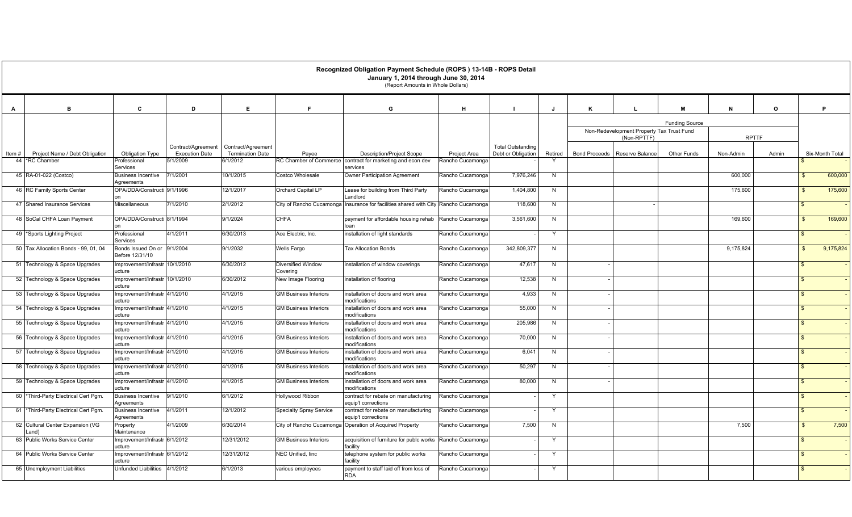|       |                                           |                                                |                                             |                                               |                                       | Recognized Obligation Payment Schedule (ROPS) 13-14B - ROPS Detail<br>January 1, 2014 through June 30, 2014<br>(Report Amounts in Whole Dollars) |                  |                                                |              |                      |                                                          |                       |           |              |                    |                 |
|-------|-------------------------------------------|------------------------------------------------|---------------------------------------------|-----------------------------------------------|---------------------------------------|--------------------------------------------------------------------------------------------------------------------------------------------------|------------------|------------------------------------------------|--------------|----------------------|----------------------------------------------------------|-----------------------|-----------|--------------|--------------------|-----------------|
| A     | B                                         | C                                              | D                                           | E                                             |                                       | G                                                                                                                                                | н                |                                                | $\mathbf{J}$ | K                    |                                                          | M                     | N         | $\mathbf{o}$ |                    | P               |
|       |                                           |                                                |                                             |                                               |                                       |                                                                                                                                                  |                  |                                                |              |                      | Non-Redevelopment Property Tax Trust Fund<br>(Non-RPTTF) | <b>Funding Source</b> |           | <b>RPTTF</b> |                    |                 |
| Item# | Project Name / Debt Obligation            | <b>Obligation Type</b>                         | Contract/Agreement<br><b>Execution Date</b> | Contract/Agreement<br><b>Termination Date</b> | Payee                                 | <b>Description/Project Scope</b>                                                                                                                 | Project Area     | <b>Total Outstanding</b><br>Debt or Obligation | Retired      | <b>Bond Proceeds</b> | Reserve Balance                                          | Other Funds           | Non-Admin | Admin        |                    | Six-Month Total |
|       | 44 *RC Chamber                            | Professional<br>Services                       | 5/1/2009                                    | 6/1/2012                                      |                                       | RC Chamber of Commerce contract for marketing and econ dev<br>services                                                                           | Rancho Cucamonga |                                                |              |                      |                                                          |                       |           |              |                    |                 |
|       | 45 RA-01-022 (Costco)                     | <b>Business Incentive</b><br>Agreements        | /1/2001                                     | 10/1/2015                                     | Costco Wholesale                      | Owner Participation Agreement                                                                                                                    | Rancho Cucamonga | 7,976,246                                      | N            |                      |                                                          |                       | 600,000   |              |                    | 600,000         |
|       | 46 RC Family Sports Center                | OPA/DDA/Constructi 9/1/1996                    |                                             | 12/1/2017                                     | Orchard Capital LP                    | Lease for building from Third Party<br>Landlord                                                                                                  | Rancho Cucamonga | 1,404,800                                      | N            |                      |                                                          |                       | 175,600   |              | $\mathbf{R}$       | 175,600         |
|       | 47 Shared Insurance Services              | Miscellaneous                                  | 7/1/2010                                    | 2/1/2012                                      |                                       | City of Rancho Cucamonga Insurance for facilities shared with City Rancho Cucamonga                                                              |                  | 118,600                                        | N            |                      |                                                          |                       |           |              | $\mathbf{\hat{f}}$ |                 |
|       | 48 SoCal CHFA Loan Payment                | OPA/DDA/Constructi 8/1/1994                    |                                             | 9/1/2024                                      | <b>CHFA</b>                           | payment for affordable housing rehab<br>loan                                                                                                     | Rancho Cucamonga | 3,561,600                                      | N            |                      |                                                          |                       | 169,600   |              |                    | 169,600         |
|       | 49 Sports Lighting Project                | Professional<br>Services                       | 4/1/2011                                    | 6/30/2013                                     | Ace Electric, Inc.                    | installation of light standards                                                                                                                  | Rancho Cucamonga |                                                | Y            |                      |                                                          |                       |           |              |                    |                 |
|       | 50 Tax Allocation Bonds - 99, 01, 04      | Bonds Issued On or 9/1/2004<br>Before 12/31/10 |                                             | 9/1/2032                                      | <b>Wells Fargo</b>                    | <b>Tax Allocation Bonds</b>                                                                                                                      | Rancho Cucamonga | 342,809,377                                    | N            |                      |                                                          |                       | 9,175,824 |              |                    | 9,175,824       |
|       | 51 Technology & Space Upgrades            | Improvement/Infrastr 10/1/2010<br>ucture       |                                             | 6/30/2012                                     | <b>Diversified Window</b><br>Coverina | installation of window coverings                                                                                                                 | Rancho Cucamonga | 47,617                                         | N            |                      |                                                          |                       |           |              |                    |                 |
|       | 52 Technology & Space Upgrades            | mprovement/Infrastr 10/1/2010<br>ucture        |                                             | 6/30/2012                                     | New Image Flooring                    | installation of flooring                                                                                                                         | Rancho Cucamonga | 12,538                                         | N            |                      |                                                          |                       |           |              | \$                 |                 |
|       | 53 Technology & Space Upgrades            | mprovement/Infrastr 4/1/2010<br>ucture         |                                             | 4/1/2015                                      | <b>GM Business Interiors</b>          | installation of doors and work area<br>modifications                                                                                             | Rancho Cucamonga | 4,933                                          | N            |                      |                                                          |                       |           |              |                    |                 |
|       | 54 Technology & Space Upgrades            | mprovement/Infrastr 4/1/2010<br>ucture         |                                             | 4/1/2015                                      | <b>GM Business Interiors</b>          | installation of doors and work area<br>modifications                                                                                             | Rancho Cucamonga | 55,000                                         | N            |                      |                                                          |                       |           |              | $\mathcal{L}$      |                 |
|       | 55 Technology & Space Upgrades            | mprovement/Infrastr 4/1/2010<br>ucture         |                                             | 4/1/2015                                      | <b>GM Business Interiors</b>          | installation of doors and work area<br>modifications                                                                                             | Rancho Cucamonga | 205,986                                        | N            |                      |                                                          |                       |           |              | $\mathbf{\hat{f}}$ |                 |
|       | 56 Technology & Space Upgrades            | mprovement/Infrastr 4/1/2010<br>ucture         |                                             | 4/1/2015                                      | <b>GM Business Interiors</b>          | installation of doors and work area<br>modifications                                                                                             | Rancho Cucamonga | 70,000                                         | N            |                      |                                                          |                       |           |              | $\mathfrak{L}$     |                 |
|       | 57 Technology & Space Upgrades            | mprovement/Infrastr 4/1/2010<br>ucture         |                                             | 4/1/2015                                      | <b>GM Business Interiors</b>          | installation of doors and work area<br>modifications                                                                                             | Rancho Cucamonga | 6,041                                          | N            |                      |                                                          |                       |           |              | $\mathbf{\hat{s}}$ |                 |
|       | 58 Technology & Space Upgrades            | mprovement/Infrastr 4/1/2010<br>ucture         |                                             | 4/1/2015                                      | <b>GM Business Interiors</b>          | installation of doors and work area<br>modifications                                                                                             | Rancho Cucamonga | 50,297                                         | N            |                      |                                                          |                       |           |              |                    |                 |
|       | 59 Technology & Space Upgrades            | mprovement/Infrastr 4/1/2010<br>ucture         |                                             | 4/1/2015                                      | <b>GM Business Interiors</b>          | installation of doors and work area<br>modifications                                                                                             | Rancho Cucamonga | 80,000                                         | N            |                      |                                                          |                       |           |              | \$                 |                 |
|       | 60 *Third-Party Electrical Cert Pgm.      | <b>Business Incentive</b><br>Agreements        | 9/1/2010                                    | 6/1/2012                                      | Hollywood Ribbon                      | contract for rebate on manufacturing<br>equip't corrections                                                                                      | Rancho Cucamonga |                                                | Y            |                      |                                                          |                       |           |              |                    |                 |
|       | 61 *Third-Party Electrical Cert Pgm.      | <b>Business Incentive</b><br>Agreements        | 4/1/2011                                    | 12/1/2012                                     | <b>Specialty Spray Service</b>        | contract for rebate on manufacturing<br>equip't corrections                                                                                      | Rancho Cucamonga |                                                | Y            |                      |                                                          |                       |           |              |                    |                 |
|       | 62 Cultural Center Expansion (VG<br>.and` | Property<br>Maintenance                        | 4/1/2009                                    | 6/30/2014                                     |                                       | City of Rancho Cucamonga Operation of Acquired Property                                                                                          | Rancho Cucamonga | 7,500                                          | N            |                      |                                                          |                       | 7,500     |              |                    | 7,500           |
|       | 63 Public Works Service Center            | mprovement/Infrastr 6/1/2012<br>ucture         |                                             | 12/31/2012                                    | <b>GM Business Interiors</b>          | acquisition of furniture for publc works<br>facility                                                                                             | Rancho Cucamonga |                                                | $\mathsf{Y}$ |                      |                                                          |                       |           |              | $\mathcal{L}$      |                 |
|       | 64 Public Works Service Center            | mprovement/Infrastr 6/1/2012<br>ucture         |                                             | 12/31/2012                                    | NEC Unified, linc                     | telephone system for public works<br>facility                                                                                                    | Rancho Cucamonga |                                                | Y            |                      |                                                          |                       |           |              |                    |                 |
|       | 65 Unemployment Liabilities               | <b>Unfunded Liabilities</b>                    | 4/1/2012                                    | 6/1/2013                                      | various employees                     | payment to staff laid off from loss of<br><b>RDA</b>                                                                                             | Rancho Cucamonga |                                                | Y            |                      |                                                          |                       |           |              |                    |                 |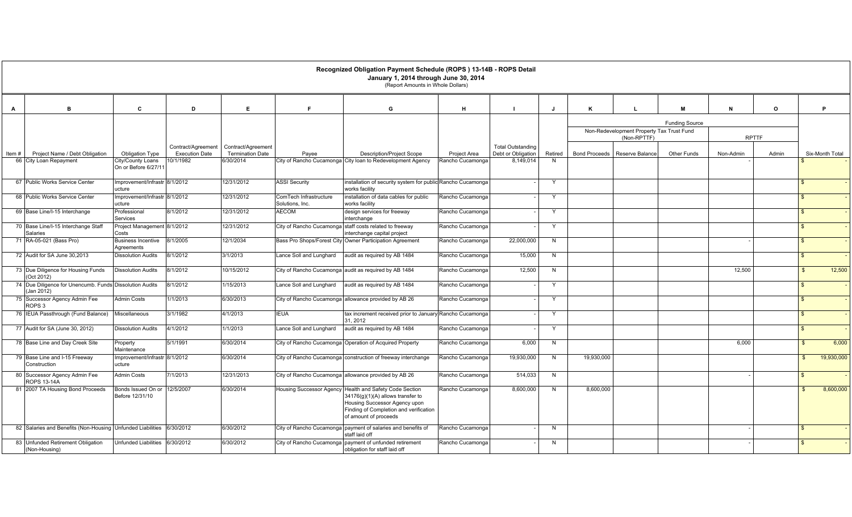|       |                                                                       |                                           |                                             |                                               |                                           | Recognized Obligation Payment Schedule (ROPS) 13-14B - ROPS Detail<br>January 1, 2014 through June 30, 2014                                                               |                  |                                                |              |            |                                                          |                       |           |              |                |                 |
|-------|-----------------------------------------------------------------------|-------------------------------------------|---------------------------------------------|-----------------------------------------------|-------------------------------------------|---------------------------------------------------------------------------------------------------------------------------------------------------------------------------|------------------|------------------------------------------------|--------------|------------|----------------------------------------------------------|-----------------------|-----------|--------------|----------------|-----------------|
|       |                                                                       |                                           |                                             |                                               |                                           | (Report Amounts in Whole Dollars)                                                                                                                                         |                  |                                                |              |            |                                                          |                       |           |              |                |                 |
| A     | B.                                                                    | C                                         | D                                           | E                                             | Е                                         | G                                                                                                                                                                         | H                |                                                |              | K          |                                                          | M                     | N         | $\mathbf{o}$ |                | P.              |
|       |                                                                       |                                           |                                             |                                               |                                           |                                                                                                                                                                           |                  |                                                |              |            |                                                          | <b>Funding Source</b> |           |              |                |                 |
|       |                                                                       |                                           |                                             |                                               |                                           |                                                                                                                                                                           |                  |                                                |              |            | Non-Redevelopment Property Tax Trust Fund<br>(Non-RPTTF) |                       |           | <b>RPTTF</b> |                |                 |
| Item# | Project Name / Debt Obligation                                        | Obligation Type                           | Contract/Agreement<br><b>Execution Date</b> | Contract/Agreement<br><b>Termination Date</b> | Payee                                     | <b>Description/Project Scope</b>                                                                                                                                          | Project Area     | <b>Total Outstanding</b><br>Debt or Obligation | Retired      |            | Bond Proceeds   Reserve Balance                          | <b>Other Funds</b>    | Non-Admin | Admin        |                | Six-Month Total |
|       | 66 City Loan Repayment                                                | City/County Loans<br>On or Before 6/27/11 | 10/1/1982                                   | 6/30/2014                                     |                                           | City of Rancho Cucamonga City loan to Redevelopment Agency                                                                                                                | Rancho Cucamonga | 8,149,014                                      | N            |            |                                                          |                       |           |              |                |                 |
|       | 67 Public Works Service Center                                        | mprovement/Infrastr 8/1/2012<br>ucture    |                                             | 12/31/2012                                    | <b>ASSI Security</b>                      | installation of security system for public Rancho Cucamonga<br>works facility                                                                                             |                  |                                                | Y            |            |                                                          |                       |           |              | <b>\$</b>      |                 |
|       | 68 Public Works Service Center                                        | mprovement/Infrastr 8/1/2012<br>ucture    |                                             | 12/31/2012                                    | ComTech Infrastructure<br>Solutions, Inc. | installation of data cables for public<br>works facility                                                                                                                  | Rancho Cucamonga |                                                | Y            |            |                                                          |                       |           |              | $\mathbf{R}$   |                 |
|       | 69 Base Line/I-15 Interchange                                         | Professional<br>Services                  | 8/1/2012                                    | 12/31/2012                                    | <b>AECOM</b>                              | design services for freeway<br>interchange                                                                                                                                | Rancho Cucamonga |                                                | Y            |            |                                                          |                       |           |              | $\mathbf{R}$   |                 |
|       | 70 Base Line/I-15 Interchange Staff<br>Salaries                       | Project Management 8/1/2012<br>Costs      |                                             | 12/31/2012                                    |                                           | City of Rancho Cucamonga staff costs related to freeway<br>interchange capital project                                                                                    | Rancho Cucamonga |                                                | Y            |            |                                                          |                       |           |              | $\mathbf{R}$   |                 |
|       | 71 RA-05-021 (Bass Pro)                                               | <b>Business Incentive</b><br>Agreements   | 8/1/2005                                    | 12/1/2034                                     |                                           | Bass Pro Shops/Forest City Owner Participation Agreement                                                                                                                  | Rancho Cucamonga | 22,000,000                                     | N            |            |                                                          |                       |           |              | $\mathbf{R}$   |                 |
|       | 72 Audit for SA June 30,2013                                          | <b>Dissolution Audits</b>                 | 8/1/2012                                    | 3/1/2013                                      | Lance Soll and Lunghard                   | audit as required by AB 1484                                                                                                                                              | Rancho Cucamonga | 15,000                                         | N            |            |                                                          |                       |           |              | $\mathfrak{F}$ |                 |
|       | 73 Due Diligence for Housing Funds<br>(Oct 2012)                      | <b>Dissolution Audits</b>                 | 8/1/2012                                    | 10/15/2012                                    |                                           | City of Rancho Cucamonga audit as required by AB 1484                                                                                                                     | Rancho Cucamonga | 12,500                                         | N            |            |                                                          |                       | 12,500    |              | $\mathbb{S}$   | 12,500          |
|       | 74 Due Diligence for Unencumb. Funds Dissolution Audits<br>(Jan 2012) |                                           | 8/1/2012                                    | 1/15/2013                                     | Lance Soll and Lunghard                   | audit as required by AB 1484                                                                                                                                              | Rancho Cucamonga |                                                | Y            |            |                                                          |                       |           |              | $\mathfrak{L}$ |                 |
|       | 75 Successor Agency Admin Fee<br>ROPS <sub>3</sub>                    | Admin Costs                               | 1/1/2013                                    | 6/30/2013                                     |                                           | City of Rancho Cucamonga allowance provided by AB 26                                                                                                                      | Rancho Cucamonga |                                                | $\mathsf{Y}$ |            |                                                          |                       |           |              | $\mathbf{R}$   |                 |
|       | 76 IEUA Passthrough (Fund Balance)                                    | Miscellaneous                             | 3/1/1982                                    | 4/1/2013                                      | <b>IEUA</b>                               | tax increment received prior to January Rancho Cucamonga<br>31, 2012                                                                                                      |                  |                                                | Y            |            |                                                          |                       |           |              | $\mathfrak{F}$ |                 |
|       | 77 Audit for SA (June 30, 2012)                                       | <b>Dissolution Audits</b>                 | 4/1/2012                                    | 1/1/2013                                      | Lance Soll and Lunghard                   | audit as required by AB 1484                                                                                                                                              | Rancho Cucamonga |                                                | Y            |            |                                                          |                       |           |              | \$             |                 |
|       | 78 Base Line and Day Creek Site                                       | Property<br>Maintenance                   | 5/1/1991                                    | 6/30/2014                                     |                                           | City of Rancho Cucamonga Operation of Acquired Property                                                                                                                   | Rancho Cucamonga | 6,000                                          | N            |            |                                                          |                       | 6,000     |              | $\mathbf{R}$   | 6,000           |
|       | 79 Base Line and I-15 Freeway<br>Construction                         | Improvement/Infrastr 8/1/2012<br>ucture   |                                             | 6/30/2014                                     |                                           | City of Rancho Cucamonga construction of freeway interchange                                                                                                              | Rancho Cucamonga | 19,930,000                                     | N            | 19,930,000 |                                                          |                       |           |              |                | 19,930,000      |
|       | 80 Successor Agency Admin Fee<br>ROPS 13-14A                          | <b>Admin Costs</b>                        | 7/1/2013                                    | 12/31/2013                                    |                                           | City of Rancho Cucamonga allowance provided by AB 26                                                                                                                      | Rancho Cucamonga | 514,033                                        | N            |            |                                                          |                       |           |              |                |                 |
|       | 81 2007 TA Housing Bond Proceeds                                      | Bonds Issued On or<br>Before 12/31/10     | 12/5/2007                                   | 6/30/2014                                     | <b>Housing Successor Agency</b>           | Health and Safety Code Section<br>$34176(g)(1)(A)$ allows transfer to<br>Housing Successor Agency upon<br>Finding of Completion and verification<br>of amount of proceeds | Rancho Cucamonga | 8,600,000                                      | N            | 8,600,000  |                                                          |                       |           |              |                | 8,600,000       |
|       | 82 Salaries and Benefits (Non-Housing Unfunded Liabilities            |                                           | 6/30/2012                                   | 6/30/2012                                     |                                           | City of Rancho Cucamonga payment of salaries and benefits of<br>staff laid off                                                                                            | Rancho Cucamonga |                                                | N            |            |                                                          |                       |           |              | $\mathfrak{L}$ |                 |
|       | 83 Unfunded Retirement Obligation<br>(Non-Housing)                    | Unfunded Liabilities                      | 6/30/2012                                   | 6/30/2012                                     |                                           | City of Rancho Cucamonga payment of unfunded retirement<br>obligation for staff laid off                                                                                  | Rancho Cucamonga |                                                | N            |            |                                                          |                       |           |              | $\mathbf{R}$   |                 |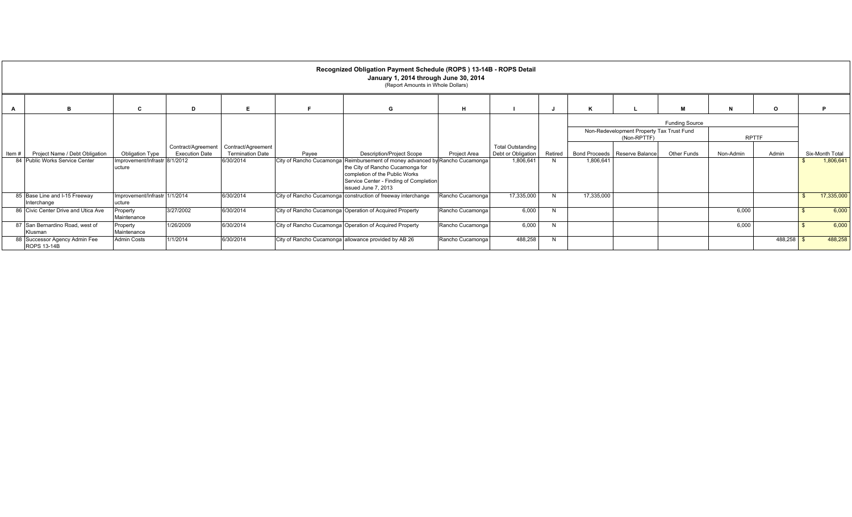|      |                                                     |                                         |                                             |                                               |       | Recognized Obligation Payment Schedule (ROPS) 13-14B - ROPS Detail<br>January 1, 2014 through June 30, 2014<br>(Report Amounts in Whole Dollars)                                                                    |                     |                                                |         |            |                                                          |                       |           |              |                 |
|------|-----------------------------------------------------|-----------------------------------------|---------------------------------------------|-----------------------------------------------|-------|---------------------------------------------------------------------------------------------------------------------------------------------------------------------------------------------------------------------|---------------------|------------------------------------------------|---------|------------|----------------------------------------------------------|-----------------------|-----------|--------------|-----------------|
| A    |                                                     |                                         | D                                           | F.                                            |       | G                                                                                                                                                                                                                   | н                   |                                                |         | ĸ          |                                                          | м                     | N         | $\circ$      |                 |
|      |                                                     |                                         |                                             |                                               |       |                                                                                                                                                                                                                     |                     |                                                |         |            |                                                          | <b>Funding Source</b> |           |              |                 |
|      |                                                     |                                         |                                             |                                               |       |                                                                                                                                                                                                                     |                     |                                                |         |            | Non-Redevelopment Property Tax Trust Fund<br>(Non-RPTTF) |                       |           | <b>RPTTF</b> |                 |
| Item | Project Name / Debt Obligation                      | Obligation Type                         | Contract/Agreement<br><b>Execution Date</b> | Contract/Agreement<br><b>Termination Date</b> | Payee | <b>Description/Project Scope</b>                                                                                                                                                                                    | <b>Project Area</b> | <b>Total Outstanding</b><br>Debt or Obligation | Retired |            | Bond Proceeds   Reserve Balance                          | Other Funds           | Non-Admin | Admin        | Six-Month Total |
|      | 84 Public Works Service Center                      | Improvement/Infrastr 8/1/2012<br>ucture |                                             | 6/30/2014                                     |       | City of Rancho Cucamonga Reimbursement of money advanced by Rancho Cucamonga<br>the City of Rancho Cucamonga for<br>completion of the Public Works<br>Service Center - Finding of Completion<br>issued June 7, 2013 |                     | 1,806,641                                      |         | 1,806,641  |                                                          |                       |           |              | 1,806,641       |
|      | 85 Base Line and I-15 Freeway<br>Interchange        | Improvement/Infrastr 1/1/2014<br>ucture |                                             | 6/30/2014                                     |       | City of Rancho Cucamonga construction of freeway interchange                                                                                                                                                        | Rancho Cucamonga    | 17,335,000                                     |         | 17,335,000 |                                                          |                       |           |              | 17,335,000      |
|      | 86 Civic Center Drive and Utica Ave                 | Property<br>Maintenance                 | 3/27/2002                                   | 6/30/2014                                     |       | City of Rancho Cucamonga Operation of Acquired Property                                                                                                                                                             | Rancho Cucamonga    | 6,000                                          | N       |            |                                                          |                       | 6,000     |              | 6,000           |
|      | 87 San Bernardino Road, west of<br>Klusman          | Property<br>Maintenance                 | 1/26/2009                                   | 6/30/2014                                     |       | City of Rancho Cucamonga Operation of Acquired Property                                                                                                                                                             | Rancho Cucamonga    | 6,000                                          |         |            |                                                          |                       | 6,000     |              | 6,000           |
|      | 88 Successor Agency Admin Fee<br><b>ROPS 13-14B</b> | <b>Admin Costs</b>                      | 1/1/2014                                    | 6/30/2014                                     |       | City of Rancho Cucamonga allowance provided by AB 26                                                                                                                                                                | Rancho Cucamonga    | 488,258                                        |         |            |                                                          |                       |           | 488,258      | 488,258         |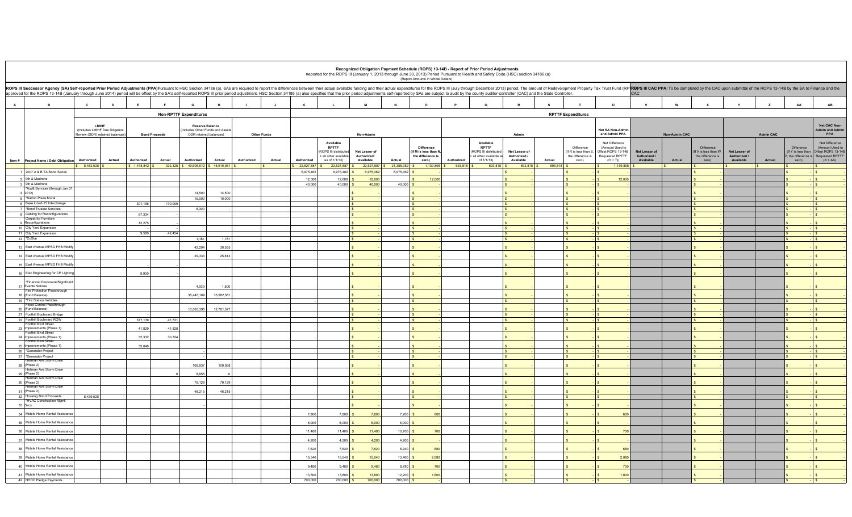|                                                                                                                                                                                                                                                                                                                                                                                                                                                                 |                                                                  |        |                                 |                      |                                                          |                  |            |                    |                          |                                                                    |                                   |                                      | (Report Amounts in Whole Dollars)                               |                                       | Recognized Obligation Payment Schedule (ROPS) 13-14B - Report of Prior Period Adjustments<br>Reported for the ROPS III (January 1, 2013 through June 30, 2013) Period Pursuant to Health and Safety Code (HSC) section 34186 (a) |                               |                   |                                                         |                                                                 |                               |                                   |                                                                |                               |                  |                                                              |                                                                 |
|-----------------------------------------------------------------------------------------------------------------------------------------------------------------------------------------------------------------------------------------------------------------------------------------------------------------------------------------------------------------------------------------------------------------------------------------------------------------|------------------------------------------------------------------|--------|---------------------------------|----------------------|----------------------------------------------------------|------------------|------------|--------------------|--------------------------|--------------------------------------------------------------------|-----------------------------------|--------------------------------------|-----------------------------------------------------------------|---------------------------------------|----------------------------------------------------------------------------------------------------------------------------------------------------------------------------------------------------------------------------------|-------------------------------|-------------------|---------------------------------------------------------|-----------------------------------------------------------------|-------------------------------|-----------------------------------|----------------------------------------------------------------|-------------------------------|------------------|--------------------------------------------------------------|-----------------------------------------------------------------|
| ROPS III Successor Agency (SA) Self-reported Prior Period Adjustments (PPA)Pursuant to HSC Section 34186 (a), SAs are required to report the differences between their actual available funding and their actual expenditures<br>approved for the ROPS 13-14B (January through June 2014) period will be offset by the SA's self-reported ROPS III prior period adjustment. HSC Section 34186 (a) also specifies that the prior period adjustments self-reporte |                                                                  |        |                                 |                      |                                                          |                  |            |                    |                          |                                                                    |                                   |                                      |                                                                 |                                       |                                                                                                                                                                                                                                  |                               |                   |                                                         |                                                                 | CAC                           |                                   |                                                                |                               |                  |                                                              |                                                                 |
| $\overline{A}$                                                                                                                                                                                                                                                                                                                                                                                                                                                  | $\mathbf{c}$                                                     | D      |                                 | F.                   | G                                                        |                  |            |                    | K                        |                                                                    | М                                 | $\mathbf N$                          | $\circ$                                                         |                                       | $\Omega$                                                                                                                                                                                                                         |                               | s                 |                                                         | U                                                               | $\mathbf v$                   | W                                 | $\mathbf{x}$                                                   |                               | z                | AA                                                           | $\mathbf{A}\mathbf{B}$                                          |
|                                                                                                                                                                                                                                                                                                                                                                                                                                                                 |                                                                  |        |                                 |                      | <b>Non-RPTTF Expenditures</b>                            |                  |            |                    |                          |                                                                    |                                   |                                      |                                                                 |                                       |                                                                                                                                                                                                                                  |                               |                   | <b>RPTTF Expenditures</b>                               |                                                                 |                               |                                   |                                                                |                               |                  |                                                              |                                                                 |
|                                                                                                                                                                                                                                                                                                                                                                                                                                                                 | LMIHF                                                            |        |                                 |                      | <b>Reserve Balance</b>                                   |                  |            |                    |                          |                                                                    |                                   |                                      |                                                                 |                                       |                                                                                                                                                                                                                                  |                               |                   |                                                         |                                                                 |                               |                                   |                                                                |                               |                  |                                                              | Net CAC Non-                                                    |
|                                                                                                                                                                                                                                                                                                                                                                                                                                                                 | (Includes LMIHF Due Diligence<br>Review (DDR) retained balances) |        |                                 | <b>Bond Proceeds</b> | Includes Other Funds and Asset<br>DDR retained balances) |                  |            | <b>Other Funds</b> |                          |                                                                    | Non-Admin                         |                                      |                                                                 |                                       |                                                                                                                                                                                                                                  | Admin                         |                   |                                                         | Net SA Non-Admin<br>and Admin PPA                               |                               | <b>Non-Admin CAC</b>              |                                                                |                               | <b>Admin CAC</b> |                                                              | <b>Admin and Admir</b><br>PPA                                   |
|                                                                                                                                                                                                                                                                                                                                                                                                                                                                 |                                                                  |        |                                 |                      |                                                          |                  |            |                    |                          | Available                                                          |                                   |                                      |                                                                 |                                       | Available                                                                                                                                                                                                                        |                               |                   |                                                         | Net Difference                                                  |                               |                                   |                                                                |                               |                  |                                                              | Net Difference                                                  |
|                                                                                                                                                                                                                                                                                                                                                                                                                                                                 |                                                                  |        |                                 |                      |                                                          |                  |            |                    |                          | <b>RPTTF</b><br><b>OPS III distribute</b><br>+ all other available | Net Lesser of<br>Authorized/      |                                      | <b>Difference</b><br>(If M is less than N,<br>the difference is |                                       | <b>RPTTF</b><br>(ROPS III distributed<br>+ all other available a                                                                                                                                                                 | Net Lesser of<br>Authorized / |                   | Difference<br>(If R is less than S<br>the difference is | (Amount Used to<br>Offset ROPS 13-14B<br><b>Requested RPTTF</b> | Net Lesser of<br>Authorized / |                                   | <b>Difference</b><br>(If V is less than W<br>the difference is | Net Lesser of<br>Authorized / |                  | <b>Difference</b><br>(If Y is less than<br>the difference is | (Amount Used to<br>Offset ROPS 13-14F<br><b>Requested RPTTF</b> |
| Item # Project Name / Debt Obligation                                                                                                                                                                                                                                                                                                                                                                                                                           | Authorized<br>\$8,452.028                                        | Actual | Authorized<br>$S$ 1.418.842 $S$ | Actual               | Authorized<br>332.326 \$49.605.612 \$48.910.061 \$       | Actual           | Authorized | Actual             | Authorized<br>22,527,887 | as of 1/1/13)<br>22,527,887                                        | Available                         | Actual<br>22,527,887 \$21,388,082 \$ | zero)                                                           | Authorized<br>1.139.805 \$ 693.818 \$ | of $1/1/13$ )<br>693818                                                                                                                                                                                                          | Available<br>693 818 \$       | Actual<br>693,818 | zero)                                                   | $(O + T)$<br>1 139 805 S                                        | Available                     | Actual<br>$\overline{\mathbf{s}}$ | zero)                                                          | Available                     | Actual<br>$\sim$ | zero)                                                        | $(X + AA)$                                                      |
| 1 2007 A & B TA Bond Series                                                                                                                                                                                                                                                                                                                                                                                                                                     |                                                                  |        |                                 |                      |                                                          |                  |            |                    | 6,975,462                | 6,975,462 \$                                                       | 6,975,462                         | 6,975,462                            |                                                                 |                                       |                                                                                                                                                                                                                                  |                               |                   |                                                         |                                                                 |                               |                                   | I S.<br>$\mathbf{s}$                                           |                               |                  |                                                              | $\sim$<br>$\mathbf{s}$                                          |
| 2 9th & Madrone                                                                                                                                                                                                                                                                                                                                                                                                                                                 |                                                                  |        |                                 |                      |                                                          |                  |            |                    | 12,000                   | 12,000                                                             | 12,000                            |                                      | 12,000<br>$\epsilon$                                            |                                       |                                                                                                                                                                                                                                  |                               |                   |                                                         | 12,000                                                          |                               |                                   |                                                                |                               |                  |                                                              | $\mathbf{s}$                                                    |
| 3 9th & Madrone                                                                                                                                                                                                                                                                                                                                                                                                                                                 |                                                                  |        |                                 |                      |                                                          |                  |            |                    | 40,000                   | $40,000$ \$                                                        | 40,000                            | $40,000$ \$                          |                                                                 |                                       |                                                                                                                                                                                                                                  |                               |                   | $\sim$                                                  |                                                                 |                               |                                   | $\leq$                                                         |                               |                  | $ s$                                                         |                                                                 |
| *Audit Services (through Jan 3<br>4 2012)                                                                                                                                                                                                                                                                                                                                                                                                                       |                                                                  |        |                                 |                      | 14,500                                                   | 14,500           |            |                    |                          |                                                                    |                                   |                                      |                                                                 |                                       |                                                                                                                                                                                                                                  |                               |                   |                                                         |                                                                 |                               |                                   |                                                                |                               |                  |                                                              |                                                                 |
| 5 *Barton Plaza Mural                                                                                                                                                                                                                                                                                                                                                                                                                                           |                                                                  |        |                                 |                      | 15,000                                                   | 10,000           |            |                    |                          |                                                                    | $\mathsf{S}$                      |                                      | $\overline{\mathbf{s}}$                                         |                                       |                                                                                                                                                                                                                                  |                               |                   | $\sim$                                                  |                                                                 |                               |                                   | $\leq$                                                         |                               |                  | $ s$                                                         |                                                                 |
| 6 Base Line/I-15 Interchange<br>7 *Bond Trustee Services                                                                                                                                                                                                                                                                                                                                                                                                        |                                                                  |        | 301,195                         | 170,000              | 6,300                                                    |                  |            |                    |                          |                                                                    | $\mathsf{S}$<br>$\mathbf{s}$      |                                      | $\sqrt{s}$<br>l s                                               |                                       |                                                                                                                                                                                                                                  |                               |                   | $\leq$                                                  |                                                                 |                               |                                   |                                                                |                               |                  | $ s$                                                         | $\sqrt{S}$                                                      |
| 8 Cabling for Reconfigurations                                                                                                                                                                                                                                                                                                                                                                                                                                  |                                                                  |        | 67.334                          |                      |                                                          |                  |            |                    |                          |                                                                    | $\mathsf{ls}$                     |                                      | $\mathsf{S}$                                                    |                                       |                                                                                                                                                                                                                                  |                               |                   | $\sim$                                                  |                                                                 |                               |                                   |                                                                |                               |                  |                                                              | $ s$                                                            |
| Carpet for Furniture<br>9 Reconfigurations                                                                                                                                                                                                                                                                                                                                                                                                                      |                                                                  |        | 12,275                          |                      |                                                          |                  |            |                    |                          |                                                                    |                                   |                                      |                                                                 |                                       |                                                                                                                                                                                                                                  |                               |                   |                                                         |                                                                 |                               |                                   |                                                                |                               |                  |                                                              |                                                                 |
| 10 City Yard Expansion                                                                                                                                                                                                                                                                                                                                                                                                                                          |                                                                  |        |                                 |                      |                                                          |                  |            |                    |                          |                                                                    | $\mathsf{S}$                      |                                      | $\sqrt{s}$                                                      |                                       | $\epsilon$                                                                                                                                                                                                                       |                               |                   | $\sim$                                                  |                                                                 |                               |                                   | $\mathbf{s}$                                                   |                               |                  |                                                              | $ S$                                                            |
| 11 City Yard Expansion                                                                                                                                                                                                                                                                                                                                                                                                                                          |                                                                  |        | 9,580                           | 42,454               |                                                          |                  |            |                    |                          |                                                                    |                                   |                                      | IS.                                                             |                                       |                                                                                                                                                                                                                                  |                               |                   |                                                         |                                                                 |                               |                                   |                                                                |                               |                  |                                                              | $\cdot$ s                                                       |
| 12 *CoStar                                                                                                                                                                                                                                                                                                                                                                                                                                                      |                                                                  |        |                                 |                      | 1,181                                                    | 1,181            |            |                    |                          |                                                                    |                                   |                                      | $\overline{\mathbf{s}}$                                         |                                       |                                                                                                                                                                                                                                  |                               |                   |                                                         |                                                                 |                               |                                   |                                                                |                               |                  |                                                              | $\mathbf{s}$                                                    |
| 13 East Avenue MPSD FHB Mod<br>14 East Avenue MPSD FHB Modi                                                                                                                                                                                                                                                                                                                                                                                                     |                                                                  |        |                                 |                      | 42,294<br>29,333                                         | 30,555<br>25,813 |            |                    |                          |                                                                    |                                   |                                      |                                                                 |                                       |                                                                                                                                                                                                                                  |                               |                   |                                                         |                                                                 |                               |                                   |                                                                |                               |                  |                                                              |                                                                 |
| 15 East Avenue MPSD FHB Modif                                                                                                                                                                                                                                                                                                                                                                                                                                   |                                                                  |        |                                 |                      |                                                          |                  |            |                    |                          |                                                                    |                                   |                                      |                                                                 |                                       |                                                                                                                                                                                                                                  |                               |                   |                                                         |                                                                 |                               |                                   |                                                                |                               |                  |                                                              |                                                                 |
| 16 Elec Engineering for CP Lightin                                                                                                                                                                                                                                                                                                                                                                                                                              |                                                                  |        | 8,900                           |                      |                                                          |                  |            |                    |                          |                                                                    |                                   |                                      |                                                                 |                                       |                                                                                                                                                                                                                                  |                               |                   |                                                         |                                                                 |                               |                                   |                                                                |                               |                  |                                                              |                                                                 |
| *Financial Disclosure/Significan                                                                                                                                                                                                                                                                                                                                                                                                                                |                                                                  |        |                                 |                      |                                                          |                  |            |                    |                          |                                                                    |                                   |                                      |                                                                 |                                       |                                                                                                                                                                                                                                  |                               |                   |                                                         |                                                                 |                               |                                   |                                                                |                               |                  |                                                              |                                                                 |
| 17 Events Notices<br>Fire Protection Passthrough                                                                                                                                                                                                                                                                                                                                                                                                                |                                                                  |        |                                 |                      | 4.939                                                    | 1.500            |            |                    |                          |                                                                    |                                   |                                      |                                                                 |                                       |                                                                                                                                                                                                                                  |                               |                   |                                                         |                                                                 |                               |                                   |                                                                |                               |                  |                                                              |                                                                 |
| 18 (Fund Balance)                                                                                                                                                                                                                                                                                                                                                                                                                                               |                                                                  |        |                                 |                      | 35,445,169                                               | 35,582,58        |            |                    |                          |                                                                    |                                   |                                      |                                                                 |                                       |                                                                                                                                                                                                                                  |                               |                   |                                                         |                                                                 |                               |                                   |                                                                |                               |                  |                                                              |                                                                 |
| 19 *Fire Station Vehicles<br>Flood Control Passthrough                                                                                                                                                                                                                                                                                                                                                                                                          |                                                                  |        |                                 |                      |                                                          |                  |            |                    |                          |                                                                    |                                   |                                      | $\sim$                                                          |                                       |                                                                                                                                                                                                                                  |                               |                   |                                                         |                                                                 |                               |                                   |                                                                |                               |                  |                                                              | $\sim$                                                          |
| 20 (Fund Balance)                                                                                                                                                                                                                                                                                                                                                                                                                                               |                                                                  |        |                                 |                      | 13,063,395                                               | 12,781,577       |            |                    |                          |                                                                    |                                   |                                      |                                                                 |                                       |                                                                                                                                                                                                                                  |                               |                   |                                                         |                                                                 |                               |                                   |                                                                |                               |                  |                                                              |                                                                 |
| 21 Foothill Boulevard Bridge<br>22 Foothill Boulevard ROW                                                                                                                                                                                                                                                                                                                                                                                                       |                                                                  |        | 377,139                         | 47,721               |                                                          |                  |            |                    |                          |                                                                    | $\overline{\mathbf{s}}$<br>$\sim$ |                                      | $\overline{\mathbf{s}}$<br>$\sqrt{s}$                           |                                       | $\sim$                                                                                                                                                                                                                           |                               |                   | $\sim$                                                  |                                                                 |                               |                                   |                                                                |                               |                  | $ S$                                                         | Is.                                                             |
| Foothill Blvd Street                                                                                                                                                                                                                                                                                                                                                                                                                                            |                                                                  |        |                                 |                      |                                                          |                  |            |                    |                          |                                                                    |                                   |                                      |                                                                 |                                       |                                                                                                                                                                                                                                  |                               |                   |                                                         |                                                                 |                               |                                   |                                                                |                               |                  |                                                              |                                                                 |
| 23 Improvements (Phase 1)<br><b>Foothill Blvd Street</b>                                                                                                                                                                                                                                                                                                                                                                                                        |                                                                  |        | 41.829                          | 41,828               |                                                          |                  |            |                    |                          |                                                                    |                                   |                                      |                                                                 |                                       |                                                                                                                                                                                                                                  |                               |                   |                                                         |                                                                 |                               |                                   |                                                                |                               |                  |                                                              |                                                                 |
| 24 Improvements (Phase 1)<br>Foothill Blvd Street                                                                                                                                                                                                                                                                                                                                                                                                               |                                                                  |        | 32,332                          | 30,324               |                                                          |                  |            |                    |                          |                                                                    |                                   |                                      |                                                                 |                                       |                                                                                                                                                                                                                                  |                               |                   |                                                         |                                                                 |                               |                                   |                                                                |                               |                  |                                                              |                                                                 |
| 25 Improvements (Phase 1)                                                                                                                                                                                                                                                                                                                                                                                                                                       |                                                                  |        | 35,846                          |                      |                                                          |                  |            |                    |                          |                                                                    |                                   |                                      |                                                                 |                                       |                                                                                                                                                                                                                                  |                               |                   |                                                         |                                                                 |                               |                                   |                                                                |                               |                  |                                                              |                                                                 |
| 26 *Generator Project                                                                                                                                                                                                                                                                                                                                                                                                                                           |                                                                  |        |                                 |                      |                                                          |                  |            |                    |                          |                                                                    | $\sim$                            |                                      | $\sim$                                                          |                                       |                                                                                                                                                                                                                                  |                               |                   | $\sim$                                                  |                                                                 |                               |                                   |                                                                |                               |                  | $ s$                                                         |                                                                 |
| 27 *Generator Project<br>Hellman Ave Storm Drain                                                                                                                                                                                                                                                                                                                                                                                                                |                                                                  |        |                                 |                      |                                                          |                  |            |                    |                          |                                                                    | $\sim$                            |                                      | l s                                                             |                                       |                                                                                                                                                                                                                                  |                               |                   |                                                         |                                                                 |                               |                                   |                                                                |                               |                  |                                                              | $\mathsf{I}$                                                    |
| 28 (Phase 2)<br>Hellman Ave Storm Drain                                                                                                                                                                                                                                                                                                                                                                                                                         |                                                                  |        |                                 |                      | 109.937                                                  | 109.938          |            |                    |                          |                                                                    |                                   |                                      |                                                                 |                                       |                                                                                                                                                                                                                                  |                               |                   |                                                         |                                                                 |                               |                                   |                                                                |                               |                  |                                                              |                                                                 |
| 29 (Phase 2)                                                                                                                                                                                                                                                                                                                                                                                                                                                    |                                                                  |        |                                 |                      | 8,855                                                    |                  |            |                    |                          |                                                                    |                                   |                                      |                                                                 |                                       |                                                                                                                                                                                                                                  |                               |                   |                                                         |                                                                 |                               |                                   |                                                                |                               |                  |                                                              |                                                                 |
| Hellman Ave Storm Drain<br>30 (Phase 2)                                                                                                                                                                                                                                                                                                                                                                                                                         |                                                                  |        |                                 |                      | 79,129                                                   | 79,129           |            |                    |                          |                                                                    |                                   |                                      |                                                                 |                                       |                                                                                                                                                                                                                                  |                               |                   |                                                         |                                                                 |                               |                                   |                                                                |                               |                  |                                                              |                                                                 |
| Hellman Ave Storm Drain<br>31 (Phase 2)                                                                                                                                                                                                                                                                                                                                                                                                                         |                                                                  |        |                                 |                      | 48,215                                                   | 48,215           |            |                    |                          |                                                                    |                                   |                                      |                                                                 |                                       |                                                                                                                                                                                                                                  |                               |                   |                                                         |                                                                 |                               |                                   |                                                                |                               |                  |                                                              |                                                                 |
| 32 Housing Bond Proceeds                                                                                                                                                                                                                                                                                                                                                                                                                                        | 8,439,528                                                        |        |                                 |                      |                                                          |                  |            |                    |                          |                                                                    | $\mathsf{S}$                      |                                      | $\sim$                                                          |                                       |                                                                                                                                                                                                                                  |                               |                   |                                                         |                                                                 |                               |                                   |                                                                |                               |                  |                                                              | - IS                                                            |
| *HVAC Construction Mgmt.<br>33 Sycs                                                                                                                                                                                                                                                                                                                                                                                                                             |                                                                  |        |                                 |                      |                                                          |                  |            |                    |                          |                                                                    |                                   |                                      |                                                                 |                                       |                                                                                                                                                                                                                                  |                               |                   |                                                         |                                                                 |                               |                                   |                                                                |                               |                  |                                                              |                                                                 |
| 34 Mobile Home Rental Assistand                                                                                                                                                                                                                                                                                                                                                                                                                                 |                                                                  |        |                                 |                      |                                                          |                  |            |                    | 7,800                    | 7,800                                                              | 7,800                             | 7,200                                | 600                                                             |                                       |                                                                                                                                                                                                                                  |                               |                   |                                                         | 60                                                              |                               |                                   |                                                                |                               |                  |                                                              |                                                                 |
| 35 Mobile Home Rental Assistanc                                                                                                                                                                                                                                                                                                                                                                                                                                 |                                                                  |        |                                 |                      |                                                          |                  |            |                    | 6,000                    | 6,000                                                              | 6,000                             | 6,000                                |                                                                 |                                       |                                                                                                                                                                                                                                  |                               |                   |                                                         |                                                                 |                               |                                   |                                                                |                               |                  |                                                              |                                                                 |
| 36 Mobile Home Rental Assistance                                                                                                                                                                                                                                                                                                                                                                                                                                |                                                                  |        |                                 |                      |                                                          |                  |            |                    | 11,400                   | 11,400                                                             | 11,400                            | 10,700                               | 700                                                             |                                       |                                                                                                                                                                                                                                  |                               |                   |                                                         | 700                                                             |                               |                                   |                                                                |                               |                  |                                                              |                                                                 |
| 37 Mobile Home Rental Assistanc                                                                                                                                                                                                                                                                                                                                                                                                                                 |                                                                  |        |                                 |                      |                                                          |                  |            |                    | 4,200                    | 4.200                                                              | 4,200                             | 4.200                                |                                                                 |                                       |                                                                                                                                                                                                                                  |                               |                   |                                                         |                                                                 |                               |                                   |                                                                |                               |                  |                                                              |                                                                 |
| 38 Mobile Home Rental Assistance                                                                                                                                                                                                                                                                                                                                                                                                                                |                                                                  |        |                                 |                      |                                                          |                  |            |                    | 7,620                    | $7.620$ $\overline{\phantom{1}}$ \$                                | 7,620                             | $6,940$ \$                           | 680                                                             |                                       |                                                                                                                                                                                                                                  |                               |                   |                                                         | 680                                                             |                               |                                   |                                                                |                               |                  |                                                              |                                                                 |
| 39 Mobile Home Rental Assistance                                                                                                                                                                                                                                                                                                                                                                                                                                |                                                                  |        |                                 |                      |                                                          |                  |            |                    | 15,540                   | $15,540$ \$                                                        | 15,540                            | $13,460$ \$                          | 2,080                                                           |                                       |                                                                                                                                                                                                                                  |                               |                   |                                                         | 2,080                                                           |                               |                                   |                                                                |                               |                  |                                                              |                                                                 |
| 40 Mobile Home Rental Assistanc                                                                                                                                                                                                                                                                                                                                                                                                                                 |                                                                  |        |                                 |                      |                                                          |                  |            |                    | 9,480                    | 9,480                                                              | 9,480                             | 8,780 \$                             | 700                                                             |                                       |                                                                                                                                                                                                                                  |                               |                   |                                                         | 700                                                             |                               |                                   |                                                                |                               |                  |                                                              |                                                                 |
| 41 Mobile Home Rental Assistance                                                                                                                                                                                                                                                                                                                                                                                                                                |                                                                  |        |                                 |                      |                                                          |                  |            |                    | 13,800                   | $13,800$ \$                                                        | 13,800                            | $12,200$ \$                          | 1,600                                                           |                                       |                                                                                                                                                                                                                                  |                               |                   |                                                         | 1,600                                                           |                               |                                   |                                                                |                               |                  |                                                              |                                                                 |
| 42 NHDC Pledge Payments                                                                                                                                                                                                                                                                                                                                                                                                                                         |                                                                  |        |                                 |                      |                                                          |                  |            |                    | 700,000                  | 700.000 S                                                          | 700,000                           | 700,000 S                            |                                                                 |                                       |                                                                                                                                                                                                                                  |                               |                   | s.                                                      | $\mathsf{I}$                                                    |                               |                                   |                                                                |                               |                  |                                                              | $ \sqrt{S}$                                                     |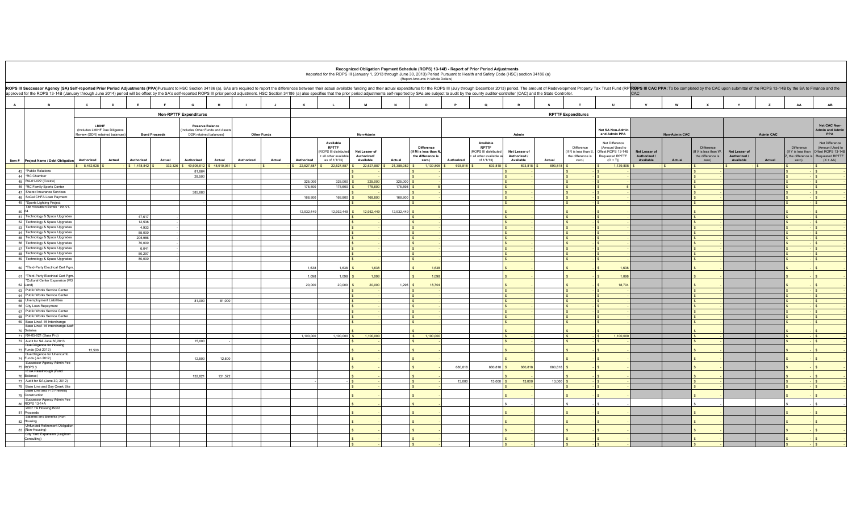|                |                                                                       |              |                                |                                                                                                                                                                                                                                                                                                                                                                                                                                                                 |                                                        |             |                    |        |            |                                                   |                                |               | (Report Amounts in Whole Dollars)       |            | Recognized Obligation Payment Schedule (ROPS) 13-14B - Report of Prior Period Adjustments<br>Reported for the ROPS III (January 1, 2013 through June 30, 2013) Period Pursuant to Health and Safety Code (HSC) section 34186 (a) |                           |         |                                     |                                                         |                           |                      |                                     |                           |                  |                                  |                                                         |
|----------------|-----------------------------------------------------------------------|--------------|--------------------------------|-----------------------------------------------------------------------------------------------------------------------------------------------------------------------------------------------------------------------------------------------------------------------------------------------------------------------------------------------------------------------------------------------------------------------------------------------------------------|--------------------------------------------------------|-------------|--------------------|--------|------------|---------------------------------------------------|--------------------------------|---------------|-----------------------------------------|------------|----------------------------------------------------------------------------------------------------------------------------------------------------------------------------------------------------------------------------------|---------------------------|---------|-------------------------------------|---------------------------------------------------------|---------------------------|----------------------|-------------------------------------|---------------------------|------------------|----------------------------------|---------------------------------------------------------|
|                |                                                                       |              |                                | ROPS III Successor Agency (SA) Self-reported Prior Period Adjustments (PPA)Pursuant to HSC Section 34186 (a), SAs are required to report the differences between their actual available funding and their actual expenditures<br>approved for the ROPS 13-14B (January through June 2014) period will be offset by the SA's self-reported ROPS III prior period adjustment. HSC Section 34186 (a) also specifies that the prior period adjustments self-reporte |                                                        |             |                    |        |            |                                                   |                                |               |                                         |            |                                                                                                                                                                                                                                  |                           |         |                                     |                                                         | CAC                       |                      |                                     |                           |                  |                                  |                                                         |
| $\overline{A}$ | в                                                                     | $\mathbf{c}$ | D                              | E                                                                                                                                                                                                                                                                                                                                                                                                                                                               | G                                                      |             |                    |        | $\kappa$   |                                                   |                                | N             | $\circ$                                 |            | $\mathbf{Q}$                                                                                                                                                                                                                     | $\mathbf R$               | s       |                                     | U                                                       |                           |                      |                                     |                           |                  | AA                               | AB                                                      |
|                |                                                                       |              |                                |                                                                                                                                                                                                                                                                                                                                                                                                                                                                 | <b>Non-RPTTF Expenditures</b>                          |             |                    |        |            |                                                   |                                |               |                                         |            |                                                                                                                                                                                                                                  |                           |         | <b>RPTTF Expenditures</b>           |                                                         |                           |                      |                                     |                           |                  |                                  |                                                         |
|                |                                                                       | LMIHF        | (Includes LMIHF Due Diligence  |                                                                                                                                                                                                                                                                                                                                                                                                                                                                 | <b>Reserve Balance</b><br>cludes Other Funds and Asset |             |                    |        |            |                                                   |                                |               |                                         |            |                                                                                                                                                                                                                                  |                           |         |                                     | <b>Net SA Non-Admin</b>                                 |                           |                      |                                     |                           |                  |                                  | Net CAC Non-<br><b>Admin and Admin</b>                  |
|                |                                                                       |              | Review (DDR) retained balances | <b>Bond Proceeds</b>                                                                                                                                                                                                                                                                                                                                                                                                                                            | DDR retained balances)                                 |             | <b>Other Funds</b> |        |            |                                                   | Non-Admin                      |               |                                         |            |                                                                                                                                                                                                                                  | Admin                     |         |                                     | and Admin PPA                                           |                           | <b>Non-Admin CAC</b> |                                     |                           | <b>Admin CAC</b> |                                  | PPA                                                     |
|                |                                                                       |              |                                |                                                                                                                                                                                                                                                                                                                                                                                                                                                                 |                                                        |             |                    |        |            | Available<br><b>RPTTF</b><br>ROPS III distributed | Net Lesser of                  |               | Difference<br>(If M is less than N      |            | Available<br><b>RPTTF</b><br>ROPS III distributed                                                                                                                                                                                | Net Lesser of             |         | Difference<br>(If R is less than S, | Net Difference<br>(Amount Used to<br>Offset ROPS 13-14B | Net Lesser of             |                      | Difference<br>(If V is less than W. | Net Lesser of             |                  | Difference<br>(If Y is less than | Net Difference<br>(Amount Used to<br>Offset ROPS 13-14B |
|                | Item # Project Name / Debt Obligati                                   | Authorized   | Actual                         | Authorized<br>Actual                                                                                                                                                                                                                                                                                                                                                                                                                                            | Authorized                                             | Actual      | Authorized         | Actual | Authorized | all other available<br>as of 1/1/13)              | Authorized/<br>Available       | Actual        | the difference is<br>zero)              | Authorized | e all other available as<br>of 1/1/13)                                                                                                                                                                                           | Authorized /<br>Available | Actual  | the difference is<br>zero)          | <b>Requested RPTTF</b><br>$(O + T)$                     | Authorized /<br>Available | Actual               | the difference is<br>zero)          | Authorized /<br>Available | Actual           | zero)                            | he difference is Requested RPTTF<br>$(X + AA)$          |
|                |                                                                       | 8,452,028 \$ |                                |                                                                                                                                                                                                                                                                                                                                                                                                                                                                 | 332,326 \$49,605,612                                   | 648,910,061 |                    |        | 22,527,887 | 22,527,887                                        | 22,527,887 \$                  | 21,388,082 \$ | 1,139,805                               | 693,818    | 693,818                                                                                                                                                                                                                          | 693,818 \$                | 693,818 |                                     | 1,139,805                                               |                           |                      |                                     |                           |                  |                                  |                                                         |
|                | 43 *Public Relations<br>44 *RC Chamber                                |              |                                |                                                                                                                                                                                                                                                                                                                                                                                                                                                                 | 81,864<br>28,500                                       |             |                    |        |            |                                                   |                                |               |                                         |            |                                                                                                                                                                                                                                  |                           |         |                                     |                                                         |                           |                      |                                     |                           |                  |                                  | S                                                       |
|                | 45 RA-01-022 (Costco)                                                 |              |                                |                                                                                                                                                                                                                                                                                                                                                                                                                                                                 |                                                        |             |                    |        | 325,000    | $325000$ $\frac{9}{5}$                            | 325,000                        | $325.000$ S   |                                         |            | l s<br>$\mathbf{s}$                                                                                                                                                                                                              |                           |         | - I S<br>$-1s$                      |                                                         |                           |                      |                                     |                           |                  | - IS                             | $\sqrt{S}$                                              |
|                | 46 *RC Family Sports Center                                           |              |                                |                                                                                                                                                                                                                                                                                                                                                                                                                                                                 |                                                        |             |                    |        | 175,600    | 175,600 S                                         | 175,600                        | 175,595 \$    |                                         |            | $\mathsf{S}$                                                                                                                                                                                                                     |                           |         | $ s$                                |                                                         |                           |                      |                                     |                           |                  | $ \sqrt{S}$                      |                                                         |
|                | 47 Shared Insurance Services<br>48 SoCal CHFA Loan Payment            |              |                                |                                                                                                                                                                                                                                                                                                                                                                                                                                                                 | 385,680                                                |             |                    |        | 168,800    | 168,800 \$                                        | 168,800                        | 168,800 S     |                                         |            | $\sim$<br>$\sim$                                                                                                                                                                                                                 |                           |         | - IS<br>$ S$                        |                                                         |                           |                      |                                     |                           |                  | $ S$<br>$ \sqrt{2}$              |                                                         |
|                | 49 *Sports Lighting Project                                           |              |                                |                                                                                                                                                                                                                                                                                                                                                                                                                                                                 |                                                        |             |                    |        |            |                                                   |                                |               | $\epsilon$                              |            | $\mathsf{s}$                                                                                                                                                                                                                     |                           |         | $ s$                                |                                                         |                           |                      |                                     |                           |                  | $ s$                             |                                                         |
| 50 04          | Tax Allocation Bonds - 99, 01                                         |              |                                |                                                                                                                                                                                                                                                                                                                                                                                                                                                                 |                                                        |             |                    |        | 12,932,449 | 12,932,449 \$                                     | 12,932,449                     | 12,932,449    |                                         |            |                                                                                                                                                                                                                                  |                           |         |                                     |                                                         |                           |                      |                                     |                           |                  |                                  | $\sim$                                                  |
|                | 51 Technology & Space Upgrades                                        |              |                                | 47.617                                                                                                                                                                                                                                                                                                                                                                                                                                                          |                                                        |             |                    |        |            |                                                   | Ιs                             |               | $\sim$                                  |            | $\mathbf{s}$                                                                                                                                                                                                                     |                           |         | $\epsilon$<br>$\sim$                |                                                         |                           |                      |                                     |                           |                  | $ s$                             |                                                         |
|                | 52 Technology & Space Upgrades                                        |              |                                | 12,538                                                                                                                                                                                                                                                                                                                                                                                                                                                          |                                                        |             |                    |        |            |                                                   |                                |               | $\hat{S}$                               |            | $\mathsf{S}$                                                                                                                                                                                                                     |                           |         |                                     |                                                         |                           |                      |                                     |                           |                  | $\cdot$ s                        |                                                         |
|                | 53 Technology & Space Upgrades<br>54 Technology & Space Upgrades      |              |                                | 4,933<br>55,000                                                                                                                                                                                                                                                                                                                                                                                                                                                 |                                                        |             |                    |        |            |                                                   | $\mathsf{ls}$<br>l s           |               | $\sqrt{s}$<br>$\sqrt{S}$                |            | $\mathsf{S}$<br>$\mathsf{s}$                                                                                                                                                                                                     |                           |         | $\epsilon$<br>SL                    |                                                         |                           |                      |                                     |                           |                  | $ \sqrt{ }$<br>$\sqrt{s}$        |                                                         |
|                | 55 Technology & Space Upgrades                                        |              |                                | 205,986                                                                                                                                                                                                                                                                                                                                                                                                                                                         |                                                        |             |                    |        |            |                                                   | l s                            |               | $\sim$                                  |            | $\sim$                                                                                                                                                                                                                           |                           |         |                                     |                                                         |                           |                      |                                     |                           |                  | $\sqrt{s}$                       |                                                         |
|                | 56 Technology & Space Upgrades                                        |              |                                | 70,000                                                                                                                                                                                                                                                                                                                                                                                                                                                          |                                                        |             |                    |        |            |                                                   | $\mathsf{s}$                   |               | S                                       |            | l s                                                                                                                                                                                                                              |                           |         |                                     |                                                         |                           |                      |                                     |                           |                  |                                  | s                                                       |
|                | 57 Technology & Space Upgrades<br>58 Technology & Space Upgrades      |              |                                | 6,041<br>50,297                                                                                                                                                                                                                                                                                                                                                                                                                                                 |                                                        |             |                    |        |            |                                                   | l s                            |               | l s                                     |            | $\sim$<br>l s                                                                                                                                                                                                                    |                           |         |                                     |                                                         |                           |                      |                                     |                           |                  | $\sqrt{S}$<br>$\cdot$ Is         |                                                         |
|                | 59 Technology & Space Upgrades                                        |              |                                | 80,000                                                                                                                                                                                                                                                                                                                                                                                                                                                          |                                                        |             |                    |        |            |                                                   | l s                            |               | $\sim$                                  |            | $\sim$                                                                                                                                                                                                                           |                           |         | $-1s$                               |                                                         |                           |                      |                                     |                           |                  | $\cdot$ Is                       |                                                         |
|                | 60 *Third-Party Electrical Cert Pgm                                   |              |                                |                                                                                                                                                                                                                                                                                                                                                                                                                                                                 |                                                        |             |                    |        | 1,638      | $1,638$ \$                                        | 1,638                          |               | 1,638                                   |            |                                                                                                                                                                                                                                  |                           |         |                                     | 1,638                                                   |                           |                      |                                     |                           |                  |                                  | $\mathbf{s}$                                            |
|                | 61 *Third-Party Electrical Cert Pgm<br>*Cultural Center Expansion (VG |              |                                |                                                                                                                                                                                                                                                                                                                                                                                                                                                                 |                                                        |             |                    |        | 1,098      | 1,098                                             | 1.098                          |               | 1.098                                   |            |                                                                                                                                                                                                                                  |                           |         |                                     | 1,098                                                   |                           |                      |                                     |                           |                  |                                  | $\sim$                                                  |
|                | 62 Land)                                                              |              |                                |                                                                                                                                                                                                                                                                                                                                                                                                                                                                 |                                                        |             |                    |        | 20,000     | 20,000                                            | 20,000                         | $1,296$ \$    | 18,704                                  |            |                                                                                                                                                                                                                                  |                           |         |                                     | 18,704                                                  |                           |                      |                                     |                           |                  |                                  |                                                         |
|                | 63 Public Works Service Center<br>64 Public Works Service Center      |              |                                |                                                                                                                                                                                                                                                                                                                                                                                                                                                                 |                                                        |             |                    |        |            |                                                   | $\mathsf{ls}$<br>l s           |               | $\mathbf{s}$<br>$\overline{\mathbf{s}}$ |            | $\mathsf{S}$<br>l s                                                                                                                                                                                                              |                           |         | $ s$<br>$\sim$                      |                                                         |                           |                      |                                     |                           |                  | $ \sim$                          |                                                         |
|                | 65 Unemployment Liabilities                                           |              |                                |                                                                                                                                                                                                                                                                                                                                                                                                                                                                 | 81,000                                                 | 81,000      |                    |        |            |                                                   | $\mathsf{ls}$                  |               | $\sqrt{s}$                              |            | $\mathsf{s}$                                                                                                                                                                                                                     |                           |         | $-1s$                               |                                                         |                           |                      |                                     |                           |                  |                                  | $\cdot$ s<br>$\cdot$ s                                  |
|                | 66 City Loan Repayment                                                |              |                                |                                                                                                                                                                                                                                                                                                                                                                                                                                                                 |                                                        |             |                    |        |            |                                                   | $\sqrt{s}$                     |               | $\sqrt{s}$                              |            | $\mathsf{S}$                                                                                                                                                                                                                     |                           |         | - Is                                |                                                         |                           |                      |                                     |                           |                  |                                  | $\cdot$ s                                               |
|                | 67 Public Works Service Center                                        |              |                                |                                                                                                                                                                                                                                                                                                                                                                                                                                                                 |                                                        |             |                    |        |            |                                                   | $\mathsf{S}$                   |               | $\sqrt{S}$                              |            | $\mathsf{s}$                                                                                                                                                                                                                     |                           |         | $\overline{\mathbf{s}}$             |                                                         |                           |                      |                                     |                           |                  |                                  | $\cdot$ s                                               |
|                | 68 Public Works Service Center<br>69 Base Line/I-15 Interchange       |              |                                |                                                                                                                                                                                                                                                                                                                                                                                                                                                                 |                                                        |             |                    |        |            |                                                   | $\mathsf{ls}$<br>$\sim$        |               | $\sqrt{s}$<br>$\sqrt{S}$                |            | $\sqrt{s}$<br>$\mathsf{s}$                                                                                                                                                                                                       |                           |         | $-$ s                               |                                                         |                           |                      |                                     |                           |                  |                                  | $\cdot$ s<br>$ s$                                       |
|                | Base Line/I-15 Interchange Staf<br>70 Salaries                        |              |                                |                                                                                                                                                                                                                                                                                                                                                                                                                                                                 |                                                        |             |                    |        |            |                                                   |                                |               |                                         |            |                                                                                                                                                                                                                                  |                           |         |                                     |                                                         |                           |                      |                                     |                           |                  |                                  |                                                         |
|                | 71 RA-05-021 (Bass Pro)                                               |              |                                |                                                                                                                                                                                                                                                                                                                                                                                                                                                                 |                                                        |             |                    |        | 1,100,000  | $1,100,000$ \$                                    | 1,100,000                      |               | S<br>1,100,000                          |            | $\mathsf{s}$                                                                                                                                                                                                                     |                           |         |                                     | 1,100,000                                               |                           |                      |                                     |                           |                  |                                  | s                                                       |
|                | 72 Audit for SA June 30,2013                                          |              |                                |                                                                                                                                                                                                                                                                                                                                                                                                                                                                 | 15,000                                                 |             |                    |        |            |                                                   |                                |               |                                         |            |                                                                                                                                                                                                                                  |                           |         |                                     |                                                         |                           |                      |                                     |                           |                  |                                  | ∣\$∶                                                    |
|                | Due Diligence for Housing<br>73 Funds (Oct 2012)                      | 12,500       |                                |                                                                                                                                                                                                                                                                                                                                                                                                                                                                 |                                                        |             |                    |        |            |                                                   |                                |               |                                         |            |                                                                                                                                                                                                                                  |                           |         |                                     |                                                         |                           |                      |                                     |                           |                  |                                  |                                                         |
|                | Due Diligence for Unencumb.<br>74 Funds (Jan 2012)                    |              |                                |                                                                                                                                                                                                                                                                                                                                                                                                                                                                 |                                                        | 12,500      |                    |        |            |                                                   |                                |               |                                         |            |                                                                                                                                                                                                                                  |                           |         |                                     |                                                         |                           |                      |                                     |                           |                  |                                  |                                                         |
|                | Successor Agency Admin Fee                                            |              |                                |                                                                                                                                                                                                                                                                                                                                                                                                                                                                 | 12,500                                                 |             |                    |        |            |                                                   |                                |               |                                         |            |                                                                                                                                                                                                                                  |                           |         |                                     |                                                         |                           |                      |                                     |                           |                  |                                  |                                                         |
|                | 75 ROPS 3<br><b>TEUA Passthrough (Fund</b>                            |              |                                |                                                                                                                                                                                                                                                                                                                                                                                                                                                                 |                                                        |             |                    |        |            |                                                   |                                |               |                                         | 680,818    | 680.818 \$                                                                                                                                                                                                                       | 680,818                   | 680.818 |                                     |                                                         |                           |                      |                                     |                           |                  |                                  | $\hat{\mathbf{S}}$                                      |
|                | 76 Balance)                                                           |              |                                |                                                                                                                                                                                                                                                                                                                                                                                                                                                                 | 132,821                                                | 131,572     |                    |        |            |                                                   |                                |               |                                         |            |                                                                                                                                                                                                                                  |                           |         |                                     |                                                         |                           |                      |                                     |                           |                  |                                  |                                                         |
|                | 77 Audit for SA (June 30, 2012)<br>78 Base Line and Day Creek Site    |              |                                |                                                                                                                                                                                                                                                                                                                                                                                                                                                                 |                                                        |             |                    |        |            |                                                   | $\overline{\mathbf{s}}$<br>l s |               | $\sim$<br>$\overline{\mathbf{s}}$       | 13,000     | $13.000$ S<br>$\sim$                                                                                                                                                                                                             | 13,000                    | 13.000  | . ا ه                               |                                                         |                           |                      |                                     |                           |                  |                                  | $\vert$ s<br>. Is                                       |
|                | Base Line and I-15 Freeway                                            |              |                                |                                                                                                                                                                                                                                                                                                                                                                                                                                                                 |                                                        |             |                    |        |            |                                                   |                                |               |                                         |            |                                                                                                                                                                                                                                  |                           |         |                                     |                                                         |                           |                      |                                     |                           |                  |                                  |                                                         |
|                | 79 Construction<br>Successor Agency Admin Fee                         |              |                                |                                                                                                                                                                                                                                                                                                                                                                                                                                                                 |                                                        |             |                    |        |            |                                                   |                                |               |                                         |            |                                                                                                                                                                                                                                  |                           |         |                                     |                                                         |                           |                      |                                     |                           |                  |                                  |                                                         |
|                | 80 ROPS 13-14A<br>2007 TA Housing Bond                                |              |                                |                                                                                                                                                                                                                                                                                                                                                                                                                                                                 |                                                        |             |                    |        |            |                                                   |                                |               |                                         |            |                                                                                                                                                                                                                                  |                           |         |                                     |                                                         |                           |                      |                                     |                           |                  |                                  | $\sim$                                                  |
|                | 81 Proceeds                                                           |              |                                |                                                                                                                                                                                                                                                                                                                                                                                                                                                                 |                                                        |             |                    |        |            |                                                   |                                |               |                                         |            |                                                                                                                                                                                                                                  |                           |         |                                     |                                                         |                           |                      |                                     |                           |                  |                                  |                                                         |
|                | Salaries and Benefits (Non<br>82 Housing                              |              |                                |                                                                                                                                                                                                                                                                                                                                                                                                                                                                 |                                                        |             |                    |        |            |                                                   |                                |               | $\hat{\mathbf{x}}$                      |            | $\hat{\mathbf{x}}$                                                                                                                                                                                                               |                           |         |                                     |                                                         |                           |                      |                                     |                           |                  |                                  | $\mathbf{S}$                                            |
|                | Unfunded Retirement Obligatio<br>83 (Non-Housing)                     |              |                                |                                                                                                                                                                                                                                                                                                                                                                                                                                                                 |                                                        |             |                    |        |            |                                                   |                                |               |                                         |            |                                                                                                                                                                                                                                  |                           |         |                                     |                                                         |                           |                      |                                     |                           |                  |                                  |                                                         |
|                | City Yard Expansion (Leightor<br>Consulting)                          |              |                                |                                                                                                                                                                                                                                                                                                                                                                                                                                                                 |                                                        |             |                    |        |            |                                                   |                                |               |                                         |            |                                                                                                                                                                                                                                  |                           |         |                                     |                                                         |                           |                      |                                     |                           |                  |                                  |                                                         |
|                |                                                                       |              |                                |                                                                                                                                                                                                                                                                                                                                                                                                                                                                 |                                                        |             |                    |        |            |                                                   | $\mathbf{s}$                   |               |                                         |            | l s                                                                                                                                                                                                                              |                           |         |                                     |                                                         |                           |                      |                                     |                           |                  | $\cdot$ s                        |                                                         |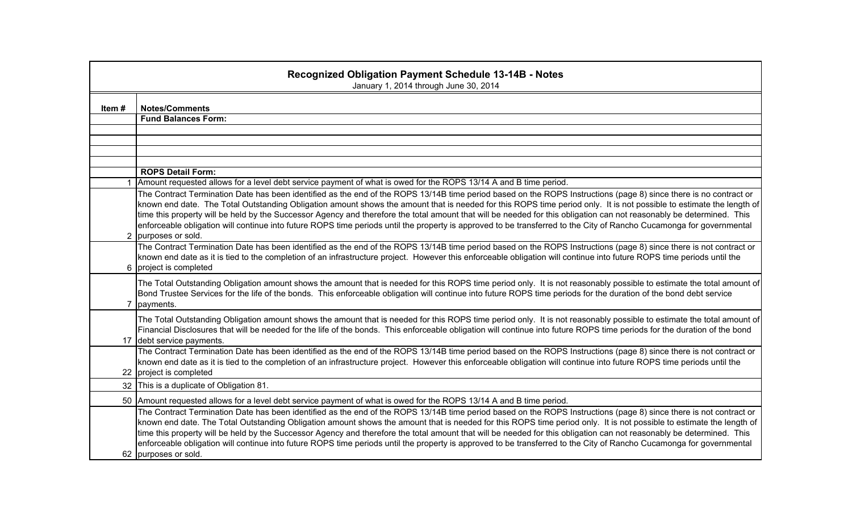|                | <b>Recognized Obligation Payment Schedule 13-14B - Notes</b><br>January 1, 2014 through June 30, 2014                                                                                                                                                                                                                                                                                                                                                                                                                                                                                                                                                                                                               |
|----------------|---------------------------------------------------------------------------------------------------------------------------------------------------------------------------------------------------------------------------------------------------------------------------------------------------------------------------------------------------------------------------------------------------------------------------------------------------------------------------------------------------------------------------------------------------------------------------------------------------------------------------------------------------------------------------------------------------------------------|
| Item#          | <b>Notes/Comments</b>                                                                                                                                                                                                                                                                                                                                                                                                                                                                                                                                                                                                                                                                                               |
|                | <b>Fund Balances Form:</b>                                                                                                                                                                                                                                                                                                                                                                                                                                                                                                                                                                                                                                                                                          |
|                |                                                                                                                                                                                                                                                                                                                                                                                                                                                                                                                                                                                                                                                                                                                     |
|                |                                                                                                                                                                                                                                                                                                                                                                                                                                                                                                                                                                                                                                                                                                                     |
|                |                                                                                                                                                                                                                                                                                                                                                                                                                                                                                                                                                                                                                                                                                                                     |
|                | <b>ROPS Detail Form:</b>                                                                                                                                                                                                                                                                                                                                                                                                                                                                                                                                                                                                                                                                                            |
|                | Amount requested allows for a level debt service payment of what is owed for the ROPS 13/14 A and B time period.                                                                                                                                                                                                                                                                                                                                                                                                                                                                                                                                                                                                    |
|                | The Contract Termination Date has been identified as the end of the ROPS 13/14B time period based on the ROPS Instructions (page 8) since there is no contract or<br>known end date. The Total Outstanding Obligation amount shows the amount that is needed for this ROPS time period only. It is not possible to estimate the length of<br>time this property will be held by the Successor Agency and therefore the total amount that will be needed for this obligation can not reasonably be determined. This<br>enforceable obligation will continue into future ROPS time periods until the property is approved to be transferred to the City of Rancho Cucamonga for governmental<br>2 purposes or sold.   |
|                | The Contract Termination Date has been identified as the end of the ROPS 13/14B time period based on the ROPS Instructions (page 8) since there is not contract or<br>known end date as it is tied to the completion of an infrastructure project. However this enforceable obligation will continue into future ROPS time periods until the<br>6 project is completed                                                                                                                                                                                                                                                                                                                                              |
| $\overline{7}$ | The Total Outstanding Obligation amount shows the amount that is needed for this ROPS time period only. It is not reasonably possible to estimate the total amount of<br>Bond Trustee Services for the life of the bonds. This enforceable obligation will continue into future ROPS time periods for the duration of the bond debt service<br>payments.                                                                                                                                                                                                                                                                                                                                                            |
|                | The Total Outstanding Obligation amount shows the amount that is needed for this ROPS time period only. It is not reasonably possible to estimate the total amount of<br>Financial Disclosures that will be needed for the life of the bonds. This enforceable obligation will continue into future ROPS time periods for the duration of the bond<br>17 debt service payments.                                                                                                                                                                                                                                                                                                                                     |
|                | The Contract Termination Date has been identified as the end of the ROPS 13/14B time period based on the ROPS Instructions (page 8) since there is not contract or<br>known end date as it is tied to the completion of an infrastructure project. However this enforceable obligation will continue into future ROPS time periods until the<br>22 project is completed                                                                                                                                                                                                                                                                                                                                             |
|                | 32 This is a duplicate of Obligation 81.                                                                                                                                                                                                                                                                                                                                                                                                                                                                                                                                                                                                                                                                            |
|                | 50 Amount requested allows for a level debt service payment of what is owed for the ROPS 13/14 A and B time period.                                                                                                                                                                                                                                                                                                                                                                                                                                                                                                                                                                                                 |
|                | The Contract Termination Date has been identified as the end of the ROPS 13/14B time period based on the ROPS Instructions (page 8) since there is not contract or<br>known end date. The Total Outstanding Obligation amount shows the amount that is needed for this ROPS time period only. It is not possible to estimate the length of<br>time this property will be held by the Successor Agency and therefore the total amount that will be needed for this obligation can not reasonably be determined. This<br>enforceable obligation will continue into future ROPS time periods until the property is approved to be transferred to the City of Rancho Cucamonga for governmental<br>62 purposes or sold. |
|                |                                                                                                                                                                                                                                                                                                                                                                                                                                                                                                                                                                                                                                                                                                                     |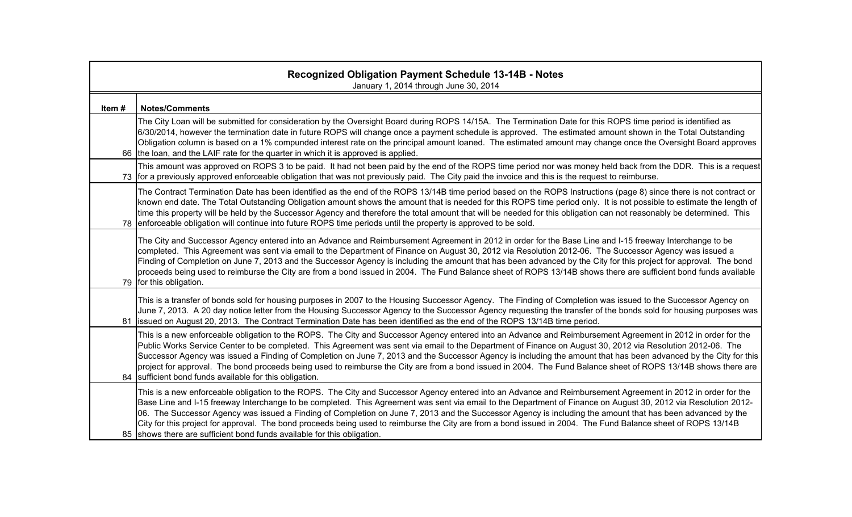|       | <b>Recognized Obligation Payment Schedule 13-14B - Notes</b><br>January 1, 2014 through June 30, 2014                                                                                                                                                                                                                                                                                                                                                                                                                                                                                                                                                                                                                                   |
|-------|-----------------------------------------------------------------------------------------------------------------------------------------------------------------------------------------------------------------------------------------------------------------------------------------------------------------------------------------------------------------------------------------------------------------------------------------------------------------------------------------------------------------------------------------------------------------------------------------------------------------------------------------------------------------------------------------------------------------------------------------|
| Item# | <b>Notes/Comments</b>                                                                                                                                                                                                                                                                                                                                                                                                                                                                                                                                                                                                                                                                                                                   |
|       | The City Loan will be submitted for consideration by the Oversight Board during ROPS 14/15A. The Termination Date for this ROPS time period is identified as<br>6/30/2014, however the termination date in future ROPS will change once a payment schedule is approved. The estimated amount shown in the Total Outstanding<br>Obligation column is based on a 1% compunded interest rate on the principal amount loaned. The estimated amount may change once the Oversight Board approves<br>66 the loan, and the LAIF rate for the quarter in which it is approved is applied.                                                                                                                                                       |
|       | This amount was approved on ROPS 3 to be paid. It had not been paid by the end of the ROPS time period nor was money held back from the DDR. This is a request<br>73 for a previously approved enforceable obligation that was not previously paid. The City paid the invoice and this is the request to reimburse.                                                                                                                                                                                                                                                                                                                                                                                                                     |
|       | The Contract Termination Date has been identified as the end of the ROPS 13/14B time period based on the ROPS Instructions (page 8) since there is not contract or<br>known end date. The Total Outstanding Obligation amount shows the amount that is needed for this ROPS time period only. It is not possible to estimate the length of<br>time this property will be held by the Successor Agency and therefore the total amount that will be needed for this obligation can not reasonably be determined. This<br>78 enforceable obligation will continue into future ROPS time periods until the property is approved to be sold.                                                                                                 |
|       | The City and Successor Agency entered into an Advance and Reimbursement Agreement in 2012 in order for the Base Line and I-15 freeway Interchange to be<br>completed. This Agreement was sent via email to the Department of Finance on August 30, 2012 via Resolution 2012-06. The Successor Agency was issued a<br>Finding of Completion on June 7, 2013 and the Successor Agency is including the amount that has been advanced by the City for this project for approval. The bond<br>proceeds being used to reimburse the City are from a bond issued in 2004. The Fund Balance sheet of ROPS 13/14B shows there are sufficient bond funds available<br>79 for this obligation.                                                    |
|       | This is a transfer of bonds sold for housing purposes in 2007 to the Housing Successor Agency. The Finding of Completion was issued to the Successor Agency on<br>June 7, 2013. A 20 day notice letter from the Housing Successor Agency to the Successor Agency requesting the transfer of the bonds sold for housing purposes was<br>81 issued on August 20, 2013. The Contract Termination Date has been identified as the end of the ROPS 13/14B time period.                                                                                                                                                                                                                                                                       |
|       | This is a new enforceable obligation to the ROPS. The City and Successor Agency entered into an Advance and Reimbursement Agreement in 2012 in order for the<br>Public Works Service Center to be completed. This Agreement was sent via email to the Department of Finance on August 30, 2012 via Resolution 2012-06. The<br>Successor Agency was issued a Finding of Completion on June 7, 2013 and the Successor Agency is including the amount that has been advanced by the City for this<br>project for approval. The bond proceeds being used to reimburse the City are from a bond issued in 2004. The Fund Balance sheet of ROPS 13/14B shows there are<br>84 sufficient bond funds available for this obligation.             |
|       | This is a new enforceable obligation to the ROPS. The City and Successor Agency entered into an Advance and Reimbursement Agreement in 2012 in order for the<br>Base Line and I-15 freeway Interchange to be completed. This Agreement was sent via email to the Department of Finance on August 30, 2012 via Resolution 2012-<br>06. The Successor Agency was issued a Finding of Completion on June 7, 2013 and the Successor Agency is including the amount that has been advanced by the<br>City for this project for approval. The bond proceeds being used to reimburse the City are from a bond issued in 2004. The Fund Balance sheet of ROPS 13/14B<br>85 shows there are sufficient bond funds available for this obligation. |